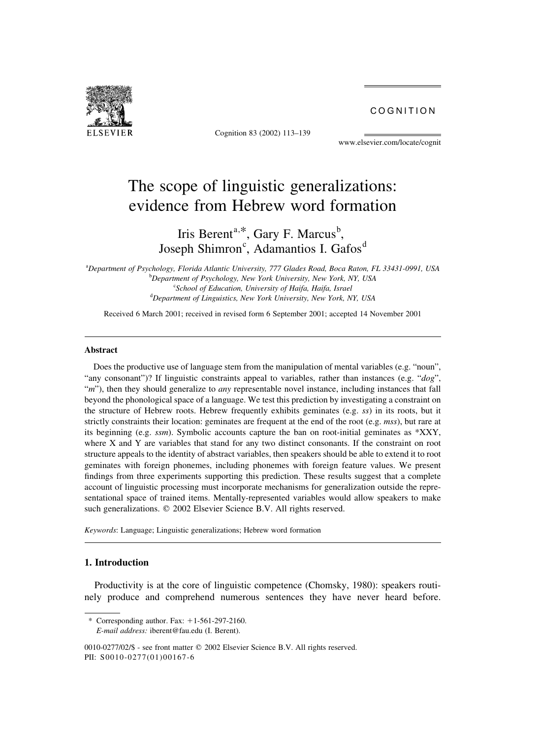COGNITION



Cognition 83 (2002) 113–139

I. Berent et al. / Cognition 83 (2002) 113–2002 113–2002 113–2002 113–2002 113–2002 113–2002<br>113–1139 113–1139 113–1139 113–2002 113–2002 113–2002 113–2002 113–2002 113–2002 113–2002 113–2002 113–2002 1

www.elsevier.com/locate/cognit

# The scope of linguistic generalizations: evidence from Hebrew word formation

Iris Berent<sup>a,\*</sup>, Gary F. Marcus<sup>b</sup>, Joseph Shimron<sup>c</sup>, Adamantios I. Gafos<sup>d</sup>

a Department of Psychology, Florida Atlantic University, 777 Glades Road, Boca Raton, FL 33431-0991, USA <sup>b</sup>Department of Psychology, New York University, New York, NY, USA <sup>c</sup>School of Education, University of Haifa, Haifa, Israel <sup>d</sup>Department of Linguistics, New York University, New York, NY, USA

Received 6 March 2001; received in revised form 6 September 2001; accepted 14 November 2001

## Abstract

Does the productive use of language stem from the manipulation of mental variables (e.g. "noun", "any consonant")? If linguistic constraints appeal to variables, rather than instances (e.g. "dog", "m"), then they should generalize to *any* representable novel instance, including instances that fall beyond the phonological space of a language. We test this prediction by investigating a constraint on the structure of Hebrew roots. Hebrew frequently exhibits geminates (e.g. ss) in its roots, but it strictly constraints their location: geminates are frequent at the end of the root (e.g. *mss*), but rare at its beginning (e.g. ssm). Symbolic accounts capture the ban on root-initial geminates as \*XXY, where X and Y are variables that stand for any two distinct consonants. If the constraint on root structure appeals to the identity of abstract variables, then speakers should be able to extend it to root geminates with foreign phonemes, including phonemes with foreign feature values. We present findings from three experiments supporting this prediction. These results suggest that a complete account of linguistic processing must incorporate mechanisms for generalization outside the representational space of trained items. Mentally-represented variables would allow speakers to make such generalizations.  $\odot$  2002 Elsevier Science B.V. All rights reserved.

Keywords: Language; Linguistic generalizations; Hebrew word formation

# 1. Introduction

Productivity is at the core of linguistic competence (Chomsky, 1980): speakers routinely produce and comprehend numerous sentences they have never heard before.

Corresponding author. Fax:  $+1-561-297-2160$ .

E-mail address: iberent@fau.edu (I. Berent).

<sup>0010-0277/02/\$ -</sup> see front matter © 2002 Elsevier Science B.V. All rights reserved. PII: S0010-0277(01)00167-6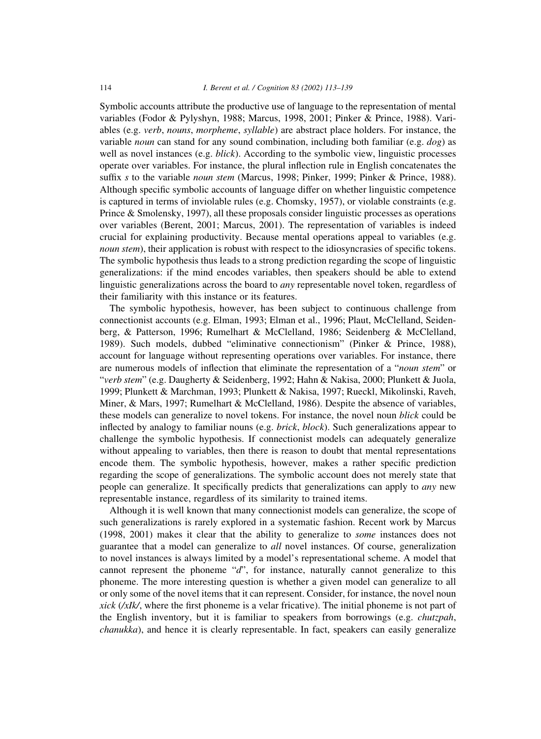Symbolic accounts attribute the productive use of language to the representation of mental variables (Fodor & Pylyshyn, 1988; Marcus, 1998, 2001; Pinker & Prince, 1988). Variables (e.g. verb, nouns, morpheme, syllable) are abstract place holders. For instance, the variable *noun* can stand for any sound combination, including both familiar (e.g.  $dog$ ) as well as novel instances (e.g. *blick*). According to the symbolic view, linguistic processes operate over variables. For instance, the plural inflection rule in English concatenates the suffix s to the variable noun stem (Marcus, 1998; Pinker, 1999; Pinker & Prince, 1988). Although specific symbolic accounts of language differ on whether linguistic competence is captured in terms of inviolable rules (e.g. Chomsky, 1957), or violable constraints (e.g. Prince & Smolensky, 1997), all these proposals consider linguistic processes as operations over variables (Berent, 2001; Marcus, 2001). The representation of variables is indeed crucial for explaining productivity. Because mental operations appeal to variables (e.g. noun stem), their application is robust with respect to the idiosyncrasies of specific tokens. The symbolic hypothesis thus leads to a strong prediction regarding the scope of linguistic generalizations: if the mind encodes variables, then speakers should be able to extend linguistic generalizations across the board to any representable novel token, regardless of their familiarity with this instance or its features.

The symbolic hypothesis, however, has been subject to continuous challenge from connectionist accounts (e.g. Elman, 1993; Elman et al., 1996; Plaut, McClelland, Seidenberg, & Patterson, 1996; Rumelhart & McClelland, 1986; Seidenberg & McClelland, 1989). Such models, dubbed "eliminative connectionism" (Pinker & Prince, 1988), account for language without representing operations over variables. For instance, there are numerous models of inflection that eliminate the representation of a "noun stem" or "verb stem" (e.g. Daugherty & Seidenberg, 1992; Hahn & Nakisa, 2000; Plunkett & Juola, 1999; Plunkett & Marchman, 1993; Plunkett & Nakisa, 1997; Rueckl, Mikolinski, Raveh, Miner, & Mars, 1997; Rumelhart & McClelland, 1986). Despite the absence of variables, these models can generalize to novel tokens. For instance, the novel noun blick could be inflected by analogy to familiar nouns (e.g. brick, block). Such generalizations appear to challenge the symbolic hypothesis. If connectionist models can adequately generalize without appealing to variables, then there is reason to doubt that mental representations encode them. The symbolic hypothesis, however, makes a rather specific prediction regarding the scope of generalizations. The symbolic account does not merely state that people can generalize. It specifically predicts that generalizations can apply to any new representable instance, regardless of its similarity to trained items.

Although it is well known that many connectionist models can generalize, the scope of such generalizations is rarely explored in a systematic fashion. Recent work by Marcus (1998, 2001) makes it clear that the ability to generalize to some instances does not guarantee that a model can generalize to all novel instances. Of course, generalization to novel instances is always limited by a model's representational scheme. A model that cannot represent the phoneme "d", for instance, naturally cannot generalize to this phoneme. The more interesting question is whether a given model can generalize to all or only some of the novel items that it can represent. Consider, for instance, the novel noun xick  $(xIk)$ , where the first phoneme is a velar fricative). The initial phoneme is not part of the English inventory, but it is familiar to speakers from borrowings (e.g. chutzpah, chanukka), and hence it is clearly representable. In fact, speakers can easily generalize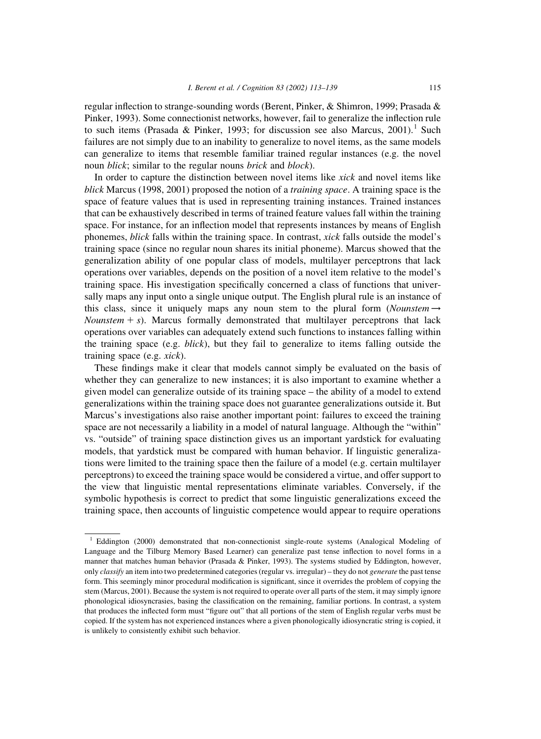regular inflection to strange-sounding words (Berent, Pinker, & Shimron, 1999; Prasada & Pinker, 1993). Some connectionist networks, however, fail to generalize the inflection rule to such items (Prasada & Pinker, 1993; for discussion see also Marcus, 2001).<sup>1</sup> Such failures are not simply due to an inability to generalize to novel items, as the same models can generalize to items that resemble familiar trained regular instances (e.g. the novel noun *blick*; similar to the regular nouns *brick* and *block*).

In order to capture the distinction between novel items like *xick* and novel items like blick Marcus (1998, 2001) proposed the notion of a *training space*. A training space is the space of feature values that is used in representing training instances. Trained instances that can be exhaustively described in terms of trained feature values fall within the training space. For instance, for an inflection model that represents instances by means of English phonemes, blick falls within the training space. In contrast, xick falls outside the model's training space (since no regular noun shares its initial phoneme). Marcus showed that the generalization ability of one popular class of models, multilayer perceptrons that lack operations over variables, depends on the position of a novel item relative to the model's training space. His investigation specifically concerned a class of functions that universally maps any input onto a single unique output. The English plural rule is an instance of this class, since it uniquely maps any noun stem to the plural form (Nounstem  $\rightarrow$ Nounstem  $+ s$ ). Marcus formally demonstrated that multilayer perceptrons that lack operations over variables can adequately extend such functions to instances falling within the training space (e.g.  $blick$ ), but they fail to generalize to items falling outside the training space (e.g. xick).

These findings make it clear that models cannot simply be evaluated on the basis of whether they can generalize to new instances; it is also important to examine whether a given model can generalize outside of its training space – the ability of a model to extend generalizations within the training space does not guarantee generalizations outside it. But Marcus's investigations also raise another important point: failures to exceed the training space are not necessarily a liability in a model of natural language. Although the "within" vs. "outside" of training space distinction gives us an important yardstick for evaluating models, that yardstick must be compared with human behavior. If linguistic generalizations were limited to the training space then the failure of a model (e.g. certain multilayer perceptrons) to exceed the training space would be considered a virtue, and offer support to the view that linguistic mental representations eliminate variables. Conversely, if the symbolic hypothesis is correct to predict that some linguistic generalizations exceed the training space, then accounts of linguistic competence would appear to require operations

<sup>&</sup>lt;sup>1</sup> Eddington (2000) demonstrated that non-connectionist single-route systems (Analogical Modeling of Language and the Tilburg Memory Based Learner) can generalize past tense inflection to novel forms in a manner that matches human behavior (Prasada & Pinker, 1993). The systems studied by Eddington, however, only *classify* an item into two predetermined categories (regular vs. irregular) – they do not *generate* the past tense form. This seemingly minor procedural modification is significant, since it overrides the problem of copying the stem (Marcus, 2001). Because the system is not required to operate over all parts of the stem, it may simply ignore phonological idiosyncrasies, basing the classification on the remaining, familiar portions. In contrast, a system that produces the inflected form must "figure out" that all portions of the stem of English regular verbs must be copied. If the system has not experienced instances where a given phonologically idiosyncratic string is copied, it is unlikely to consistently exhibit such behavior.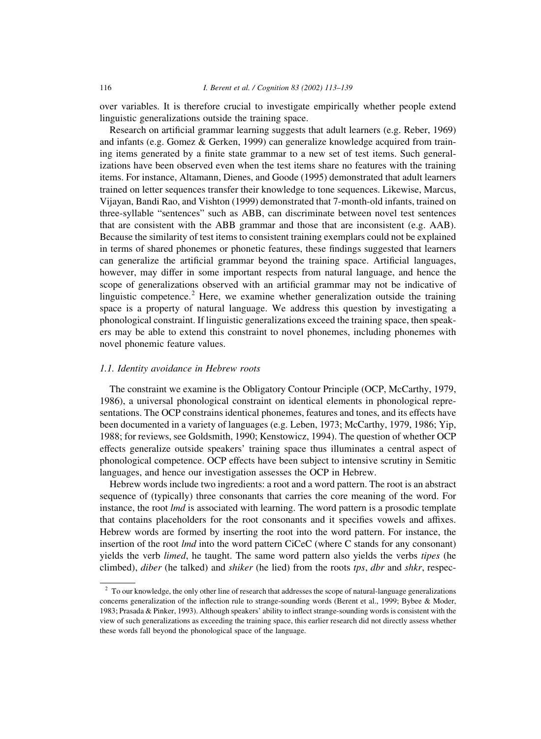over variables. It is therefore crucial to investigate empirically whether people extend linguistic generalizations outside the training space.

Research on artificial grammar learning suggests that adult learners (e.g. Reber, 1969) and infants (e.g. Gomez & Gerken, 1999) can generalize knowledge acquired from training items generated by a finite state grammar to a new set of test items. Such generalizations have been observed even when the test items share no features with the training items. For instance, Altamann, Dienes, and Goode (1995) demonstrated that adult learners trained on letter sequences transfer their knowledge to tone sequences. Likewise, Marcus, Vijayan, Bandi Rao, and Vishton (1999) demonstrated that 7-month-old infants, trained on three-syllable "sentences" such as ABB, can discriminate between novel test sentences that are consistent with the ABB grammar and those that are inconsistent (e.g. AAB). Because the similarity of test items to consistent training exemplars could not be explained in terms of shared phonemes or phonetic features, these findings suggested that learners can generalize the artificial grammar beyond the training space. Artificial languages, however, may differ in some important respects from natural language, and hence the scope of generalizations observed with an artificial grammar may not be indicative of linguistic competence.<sup>2</sup> Here, we examine whether generalization outside the training space is a property of natural language. We address this question by investigating a phonological constraint. If linguistic generalizations exceed the training space, then speakers may be able to extend this constraint to novel phonemes, including phonemes with novel phonemic feature values.

# 1.1. Identity avoidance in Hebrew roots

The constraint we examine is the Obligatory Contour Principle (OCP, McCarthy, 1979, 1986), a universal phonological constraint on identical elements in phonological representations. The OCP constrains identical phonemes, features and tones, and its effects have been documented in a variety of languages (e.g. Leben, 1973; McCarthy, 1979, 1986; Yip, 1988; for reviews, see Goldsmith, 1990; Kenstowicz, 1994). The question of whether OCP effects generalize outside speakers' training space thus illuminates a central aspect of phonological competence. OCP effects have been subject to intensive scrutiny in Semitic languages, and hence our investigation assesses the OCP in Hebrew.

Hebrew words include two ingredients: a root and a word pattern. The root is an abstract sequence of (typically) three consonants that carries the core meaning of the word. For instance, the root *lmd* is associated with learning. The word pattern is a prosodic template that contains placeholders for the root consonants and it specifies vowels and affixes. Hebrew words are formed by inserting the root into the word pattern. For instance, the insertion of the root *lmd* into the word pattern CiCeC (where C stands for any consonant) yields the verb limed, he taught. The same word pattern also yields the verbs tipes (he climbed), *diber* (he talked) and *shiker* (he lied) from the roots tps, *dbr* and *shkr*, respec-

<sup>&</sup>lt;sup>2</sup> To our knowledge, the only other line of research that addresses the scope of natural-language generalizations concerns generalization of the inflection rule to strange-sounding words (Berent et al., 1999; Bybee & Moder, 1983; Prasada & Pinker, 1993). Although speakers' ability to inflect strange-sounding words is consistent with the view of such generalizations as exceeding the training space, this earlier research did not directly assess whether these words fall beyond the phonological space of the language.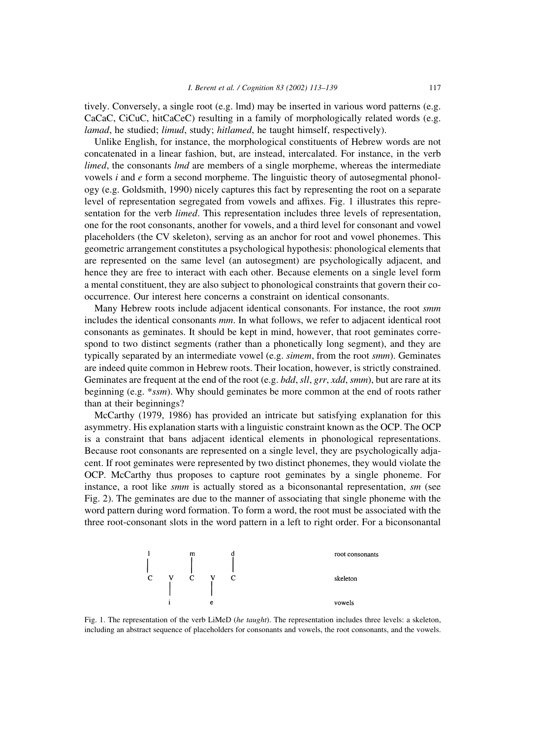tively. Conversely, a single root (e.g. lmd) may be inserted in various word patterns (e.g. CaCaC, CiCuC, hitCaCeC) resulting in a family of morphologically related words (e.g. lamad, he studied; limud, study; hitlamed, he taught himself, respectively).

Unlike English, for instance, the morphological constituents of Hebrew words are not concatenated in a linear fashion, but, are instead, intercalated. For instance, in the verb limed, the consonants lmd are members of a single morpheme, whereas the intermediate vowels  $i$  and  $e$  form a second morpheme. The linguistic theory of autosegmental phonology (e.g. Goldsmith, 1990) nicely captures this fact by representing the root on a separate level of representation segregated from vowels and affixes. Fig. 1 illustrates this representation for the verb *limed*. This representation includes three levels of representation, one for the root consonants, another for vowels, and a third level for consonant and vowel placeholders (the CV skeleton), serving as an anchor for root and vowel phonemes. This geometric arrangement constitutes a psychological hypothesis: phonological elements that are represented on the same level (an autosegment) are psychologically adjacent, and hence they are free to interact with each other. Because elements on a single level form a mental constituent, they are also subject to phonological constraints that govern their cooccurrence. Our interest here concerns a constraint on identical consonants.

Many Hebrew roots include adjacent identical consonants. For instance, the root smm includes the identical consonants mm. In what follows, we refer to adjacent identical root consonants as geminates. It should be kept in mind, however, that root geminates correspond to two distinct segments (rather than a phonetically long segment), and they are typically separated by an intermediate vowel (e.g. *simem*, from the root *smm*). Geminates are indeed quite common in Hebrew roots. Their location, however, is strictly constrained. Geminates are frequent at the end of the root (e.g. bdd, sll, grr, xdd, smm), but are rare at its beginning (e.g. \*ssm). Why should geminates be more common at the end of roots rather than at their beginnings?

McCarthy (1979, 1986) has provided an intricate but satisfying explanation for this asymmetry. His explanation starts with a linguistic constraint known as the OCP. The OCP is a constraint that bans adjacent identical elements in phonological representations. Because root consonants are represented on a single level, they are psychologically adjacent. If root geminates were represented by two distinct phonemes, they would violate the OCP. McCarthy thus proposes to capture root geminates by a single phoneme. For instance, a root like *smm* is actually stored as a biconsonantal representation, *sm* (see Fig. 2). The geminates are due to the manner of associating that single phoneme with the word pattern during word formation. To form a word, the root must be associated with the three root-consonant slots in the word pattern in a left to right order. For a biconsonantal



Fig. 1. The representation of the verb LiMeD (he taught). The representation includes three levels: a skeleton, including an abstract sequence of placeholders for consonants and vowels, the root consonants, and the vowels.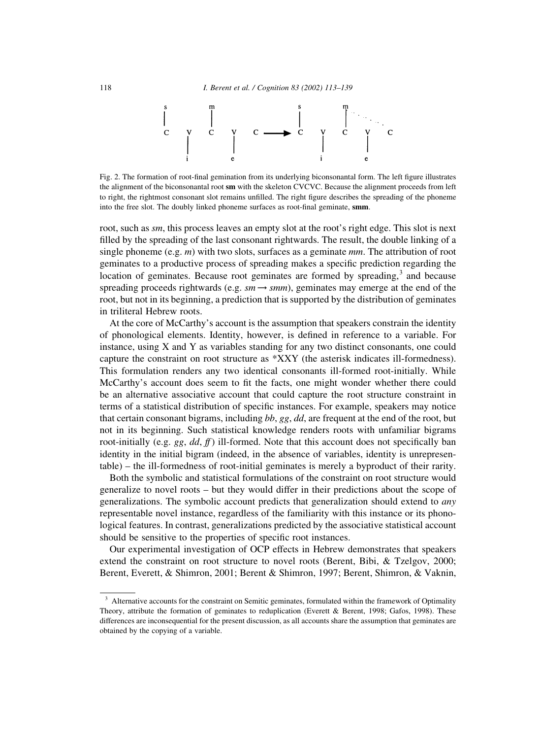

Fig. 2. The formation of root-final gemination from its underlying biconsonantal form. The left figure illustrates the alignment of the biconsonantal root sm with the skeleton CVCVC. Because the alignment proceeds from left to right, the rightmost consonant slot remains unfilled. The right figure describes the spreading of the phoneme into the free slot. The doubly linked phoneme surfaces as root-final geminate, smm.

root, such as *sm*, this process leaves an empty slot at the root's right edge. This slot is next filled by the spreading of the last consonant rightwards. The result, the double linking of a single phoneme (e.g.  $m$ ) with two slots, surfaces as a geminate  $mm$ . The attribution of root geminates to a productive process of spreading makes a specific prediction regarding the location of geminates. Because root geminates are formed by spreading,<sup>3</sup> and because spreading proceeds rightwards (e.g.  $sm \rightarrow smm$ ), geminates may emerge at the end of the root, but not in its beginning, a prediction that is supported by the distribution of geminates in triliteral Hebrew roots.

At the core of McCarthy's account is the assumption that speakers constrain the identity of phonological elements. Identity, however, is defined in reference to a variable. For instance, using X and Y as variables standing for any two distinct consonants, one could capture the constraint on root structure as \*XXY (the asterisk indicates ill-formedness). This formulation renders any two identical consonants ill-formed root-initially. While McCarthy's account does seem to fit the facts, one might wonder whether there could be an alternative associative account that could capture the root structure constraint in terms of a statistical distribution of specific instances. For example, speakers may notice that certain consonant bigrams, including  $bb$ ,  $gg$ ,  $dd$ , are frequent at the end of the root, but not in its beginning. Such statistical knowledge renders roots with unfamiliar bigrams root-initially (e.g. gg, dd, ff) ill-formed. Note that this account does not specifically ban identity in the initial bigram (indeed, in the absence of variables, identity is unrepresentable) – the ill-formedness of root-initial geminates is merely a byproduct of their rarity.

Both the symbolic and statistical formulations of the constraint on root structure would generalize to novel roots – but they would differ in their predictions about the scope of generalizations. The symbolic account predicts that generalization should extend to any representable novel instance, regardless of the familiarity with this instance or its phonological features. In contrast, generalizations predicted by the associative statistical account should be sensitive to the properties of specific root instances.

Our experimental investigation of OCP effects in Hebrew demonstrates that speakers extend the constraint on root structure to novel roots (Berent, Bibi, & Tzelgov, 2000; Berent, Everett, & Shimron, 2001; Berent & Shimron, 1997; Berent, Shimron, & Vaknin,

<sup>&</sup>lt;sup>3</sup> Alternative accounts for the constraint on Semitic geminates, formulated within the framework of Optimality Theory, attribute the formation of geminates to reduplication (Everett & Berent, 1998; Gafos, 1998). These differences are inconsequential for the present discussion, as all accounts share the assumption that geminates are obtained by the copying of a variable.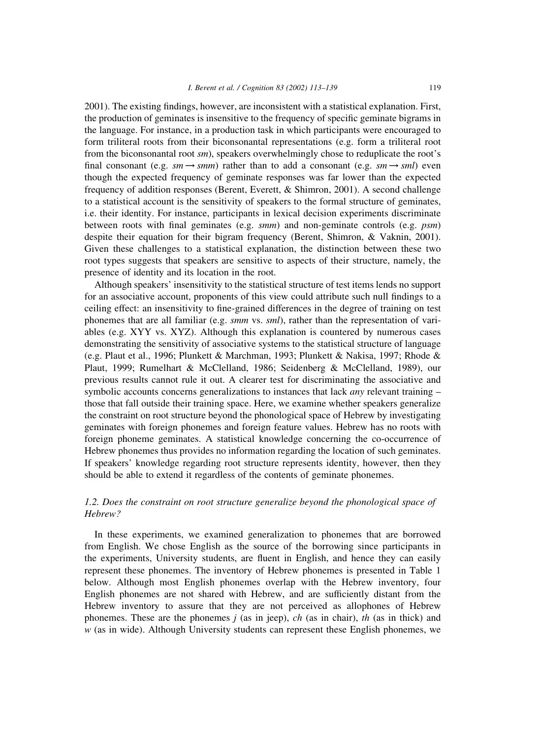2001). The existing findings, however, are inconsistent with a statistical explanation. First, the production of geminates is insensitive to the frequency of specific geminate bigrams in the language. For instance, in a production task in which participants were encouraged to form triliteral roots from their biconsonantal representations (e.g. form a triliteral root from the biconsonantal root sm), speakers overwhelmingly chose to reduplicate the root's final consonant (e.g.  $sm \rightarrow smm$ ) rather than to add a consonant (e.g.  $sm \rightarrow sml$ ) even though the expected frequency of geminate responses was far lower than the expected frequency of addition responses (Berent, Everett, & Shimron, 2001). A second challenge to a statistical account is the sensitivity of speakers to the formal structure of geminates, i.e. their identity. For instance, participants in lexical decision experiments discriminate between roots with final geminates (e.g. smm) and non-geminate controls (e.g. psm) despite their equation for their bigram frequency (Berent, Shimron, & Vaknin, 2001). Given these challenges to a statistical explanation, the distinction between these two root types suggests that speakers are sensitive to aspects of their structure, namely, the presence of identity and its location in the root.

Although speakers' insensitivity to the statistical structure of test items lends no support for an associative account, proponents of this view could attribute such null findings to a ceiling effect: an insensitivity to fine-grained differences in the degree of training on test phonemes that are all familiar (e.g. *smm* vs. *sml*), rather than the representation of variables (e.g. XYY vs. XYZ). Although this explanation is countered by numerous cases demonstrating the sensitivity of associative systems to the statistical structure of language (e.g. Plaut et al., 1996; Plunkett & Marchman, 1993; Plunkett & Nakisa, 1997; Rhode & Plaut, 1999; Rumelhart & McClelland, 1986; Seidenberg & McClelland, 1989), our previous results cannot rule it out. A clearer test for discriminating the associative and symbolic accounts concerns generalizations to instances that lack *any* relevant training  $$ those that fall outside their training space. Here, we examine whether speakers generalize the constraint on root structure beyond the phonological space of Hebrew by investigating geminates with foreign phonemes and foreign feature values. Hebrew has no roots with foreign phoneme geminates. A statistical knowledge concerning the co-occurrence of Hebrew phonemes thus provides no information regarding the location of such geminates. If speakers' knowledge regarding root structure represents identity, however, then they should be able to extend it regardless of the contents of geminate phonemes.

# 1.2. Does the constraint on root structure generalize beyond the phonological space of Hebrew?

In these experiments, we examined generalization to phonemes that are borrowed from English. We chose English as the source of the borrowing since participants in the experiments, University students, are fluent in English, and hence they can easily represent these phonemes. The inventory of Hebrew phonemes is presented in Table 1 below. Although most English phonemes overlap with the Hebrew inventory, four English phonemes are not shared with Hebrew, and are sufficiently distant from the Hebrew inventory to assure that they are not perceived as allophones of Hebrew phonemes. These are the phonemes  $j$  (as in jeep), ch (as in chair), th (as in thick) and  $w$  (as in wide). Although University students can represent these English phonemes, we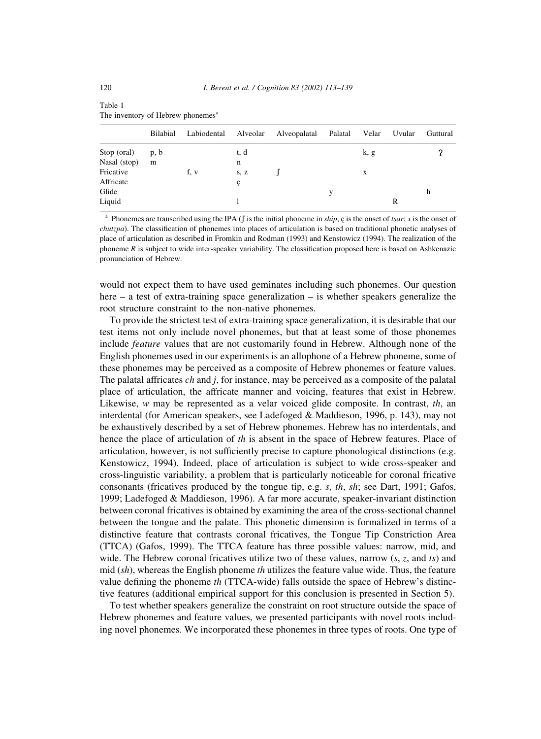|              | <b>Bilabial</b> | Labiodental | Alveolar | Alveopalatal | Palatal | Velar | Uvular | Guttural |
|--------------|-----------------|-------------|----------|--------------|---------|-------|--------|----------|
| Stop (oral)  | p, b            |             | t, d     |              |         | k, g  |        |          |
| Nasal (stop) | m               |             | n        |              |         |       |        |          |
| Fricative    |                 | f, v        | S, Z     |              |         | X     |        |          |
| Affricate    |                 |             | ç        |              |         |       |        |          |
| Glide        |                 |             |          |              |         |       |        | h        |
| Liquid       |                 |             |          |              |         |       | R      |          |

<sup>a</sup> Phonemes are transcribed using the IPA ( $\int$  is the initial phoneme in *ship*,  $\zeta$  is the onset of *tsar*; x is the onset of chutzpa). The classification of phonemes into places of articulation is based on traditional phonetic analyses of place of articulation as described in Fromkin and Rodman (1993) and Kenstowicz (1994). The realization of the phoneme R is subject to wide inter-speaker variability. The classification proposed here is based on Ashkenazic pronunciation of Hebrew.

would not expect them to have used geminates including such phonemes. Our question here – a test of extra-training space generalization – is whether speakers generalize the root structure constraint to the non-native phonemes.

To provide the strictest test of extra-training space generalization, it is desirable that our test items not only include novel phonemes, but that at least some of those phonemes include feature values that are not customarily found in Hebrew. Although none of the English phonemes used in our experiments is an allophone of a Hebrew phoneme, some of these phonemes may be perceived as a composite of Hebrew phonemes or feature values. The palatal affricates  $ch$  and  $j$ , for instance, may be perceived as a composite of the palatal place of articulation, the affricate manner and voicing, features that exist in Hebrew. Likewise,  $w$  may be represented as a velar voiced glide composite. In contrast,  $th$ , an interdental (for American speakers, see Ladefoged & Maddieson, 1996, p. 143), may not be exhaustively described by a set of Hebrew phonemes. Hebrew has no interdentals, and hence the place of articulation of th is absent in the space of Hebrew features. Place of articulation, however, is not sufficiently precise to capture phonological distinctions (e.g. Kenstowicz, 1994). Indeed, place of articulation is subject to wide cross-speaker and cross-linguistic variability, a problem that is particularly noticeable for coronal fricative consonants (fricatives produced by the tongue tip, e.g. s, th, sh; see Dart, 1991; Gafos, 1999; Ladefoged & Maddieson, 1996). A far more accurate, speaker-invariant distinction between coronal fricatives is obtained by examining the area of the cross-sectional channel between the tongue and the palate. This phonetic dimension is formalized in terms of a distinctive feature that contrasts coronal fricatives, the Tongue Tip Constriction Area (TTCA) (Gafos, 1999). The TTCA feature has three possible values: narrow, mid, and wide. The Hebrew coronal fricatives utilize two of these values, narrow  $(s, z,$  and ts) and mid  $(sh)$ , whereas the English phoneme th utilizes the feature value wide. Thus, the feature value defining the phoneme th (TTCA-wide) falls outside the space of Hebrew's distinctive features (additional empirical support for this conclusion is presented in Section 5).

To test whether speakers generalize the constraint on root structure outside the space of Hebrew phonemes and feature values, we presented participants with novel roots including novel phonemes. We incorporated these phonemes in three types of roots. One type of

Table 1

The inventory of Hebrew phonemes<sup>a</sup>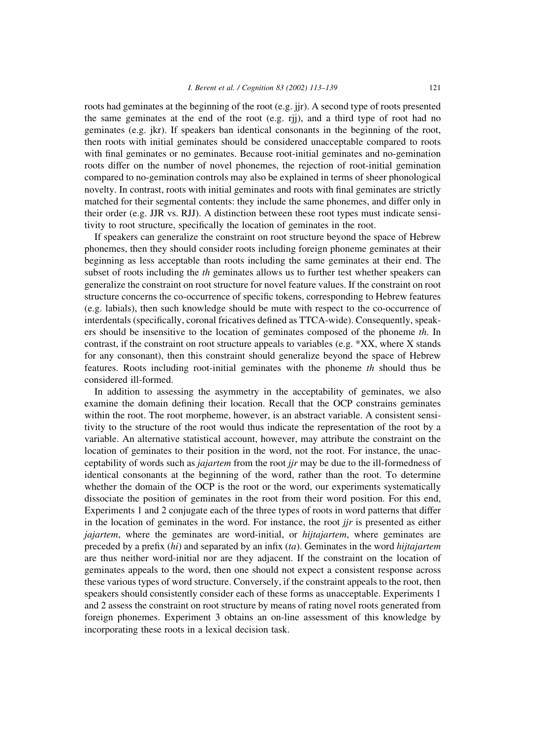roots had geminates at the beginning of the root (e.g. jjr). A second type of roots presented the same geminates at the end of the root (e.g. rjj), and a third type of root had no geminates (e.g. jkr). If speakers ban identical consonants in the beginning of the root, then roots with initial geminates should be considered unacceptable compared to roots with final geminates or no geminates. Because root-initial geminates and no-gemination roots differ on the number of novel phonemes, the rejection of root-initial gemination compared to no-gemination controls may also be explained in terms of sheer phonological novelty. In contrast, roots with initial geminates and roots with final geminates are strictly matched for their segmental contents: they include the same phonemes, and differ only in their order (e.g. JJR vs. RJJ). A distinction between these root types must indicate sensitivity to root structure, specifically the location of geminates in the root.

If speakers can generalize the constraint on root structure beyond the space of Hebrew phonemes, then they should consider roots including foreign phoneme geminates at their beginning as less acceptable than roots including the same geminates at their end. The subset of roots including the *th* geminates allows us to further test whether speakers can generalize the constraint on root structure for novel feature values. If the constraint on root structure concerns the co-occurrence of specific tokens, corresponding to Hebrew features (e.g. labials), then such knowledge should be mute with respect to the co-occurrence of interdentals (specifically, coronal fricatives defined as TTCA-wide). Consequently, speakers should be insensitive to the location of geminates composed of the phoneme th. In contrast, if the constraint on root structure appeals to variables (e.g. \*XX, where X stands for any consonant), then this constraint should generalize beyond the space of Hebrew features. Roots including root-initial geminates with the phoneme th should thus be considered ill-formed.

In addition to assessing the asymmetry in the acceptability of geminates, we also examine the domain defining their location. Recall that the OCP constrains geminates within the root. The root morpheme, however, is an abstract variable. A consistent sensitivity to the structure of the root would thus indicate the representation of the root by a variable. An alternative statistical account, however, may attribute the constraint on the location of geminates to their position in the word, not the root. For instance, the unacceptability of words such as *jajartem* from the root *jir* may be due to the ill-formedness of identical consonants at the beginning of the word, rather than the root. To determine whether the domain of the OCP is the root or the word, our experiments systematically dissociate the position of geminates in the root from their word position. For this end, Experiments 1 and 2 conjugate each of the three types of roots in word patterns that differ in the location of geminates in the word. For instance, the root  $jjr$  is presented as either jajartem, where the geminates are word-initial, or hijtajartem, where geminates are preceded by a prefix  $(hi)$  and separated by an infix  $(ta)$ . Geminates in the word *hijtajartem* are thus neither word-initial nor are they adjacent. If the constraint on the location of geminates appeals to the word, then one should not expect a consistent response across these various types of word structure. Conversely, if the constraint appeals to the root, then speakers should consistently consider each of these forms as unacceptable. Experiments 1 and 2 assess the constraint on root structure by means of rating novel roots generated from foreign phonemes. Experiment 3 obtains an on-line assessment of this knowledge by incorporating these roots in a lexical decision task.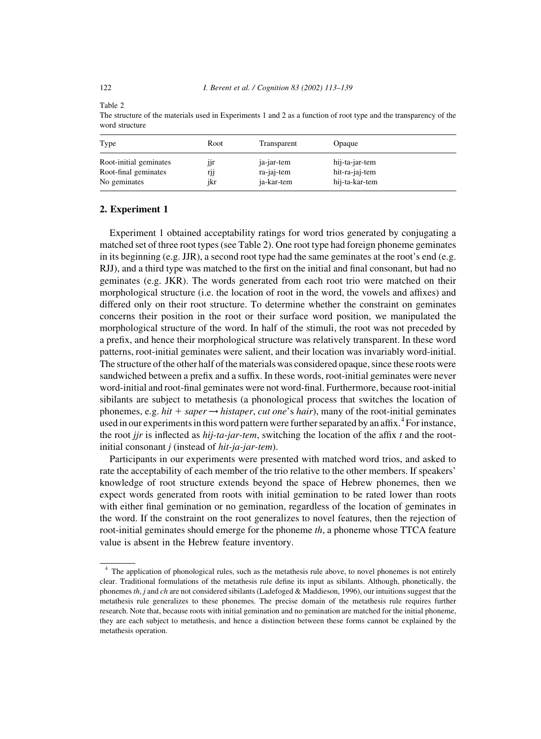| Type                   | Root    | Transparent | Opaque         |  |
|------------------------|---------|-------------|----------------|--|
| Root-initial geminates | <br>11r | ja-jar-tem  | hij-ta-jar-tem |  |
| Root-final geminates   | ŋj      | ra-jaj-tem  | hit-ra-jaj-tem |  |
| No geminates           | ikr     | ia-kar-tem  | hii-ta-kar-tem |  |

The structure of the materials used in Experiments 1 and 2 as a function of root type and the transparency of the word structure

# 2. Experiment 1

Experiment 1 obtained acceptability ratings for word trios generated by conjugating a matched set of three root types (see Table 2). One root type had foreign phoneme geminates in its beginning (e.g. JJR), a second root type had the same geminates at the root's end (e.g. RJJ), and a third type was matched to the first on the initial and final consonant, but had no geminates (e.g. JKR). The words generated from each root trio were matched on their morphological structure (i.e. the location of root in the word, the vowels and affixes) and differed only on their root structure. To determine whether the constraint on geminates concerns their position in the root or their surface word position, we manipulated the morphological structure of the word. In half of the stimuli, the root was not preceded by a prefix, and hence their morphological structure was relatively transparent. In these word patterns, root-initial geminates were salient, and their location was invariably word-initial. The structure of the other half of the materials was considered opaque, since these roots were sandwiched between a prefix and a suffix. In these words, root-initial geminates were never word-initial and root-final geminates were not word-final. Furthermore, because root-initial sibilants are subject to metathesis (a phonological process that switches the location of phonemes, e.g. hit + saper  $\rightarrow$  histaper, cut one's hair), many of the root-initial geminates used in our experiments in this word pattern were further separated by an affix.<sup>4</sup> For instance, the root *jir* is inflected as *hij-ta-jar-tem*, switching the location of the affix t and the rootinitial consonant *j* (instead of *hit-ja-jar-tem*).

Participants in our experiments were presented with matched word trios, and asked to rate the acceptability of each member of the trio relative to the other members. If speakers' knowledge of root structure extends beyond the space of Hebrew phonemes, then we expect words generated from roots with initial gemination to be rated lower than roots with either final gemination or no gemination, regardless of the location of geminates in the word. If the constraint on the root generalizes to novel features, then the rejection of root-initial geminates should emerge for the phoneme th, a phoneme whose TTCA feature value is absent in the Hebrew feature inventory.

Table 2

<sup>&</sup>lt;sup>4</sup> The application of phonological rules, such as the metathesis rule above, to novel phonemes is not entirely clear. Traditional formulations of the metathesis rule define its input as sibilants. Although, phonetically, the phonemes th, j and ch are not considered sibilants (Ladefoged & Maddieson, 1996), our intuitions suggest that the metathesis rule generalizes to these phonemes. The precise domain of the metathesis rule requires further research. Note that, because roots with initial gemination and no gemination are matched for the initial phoneme, they are each subject to metathesis, and hence a distinction between these forms cannot be explained by the metathesis operation.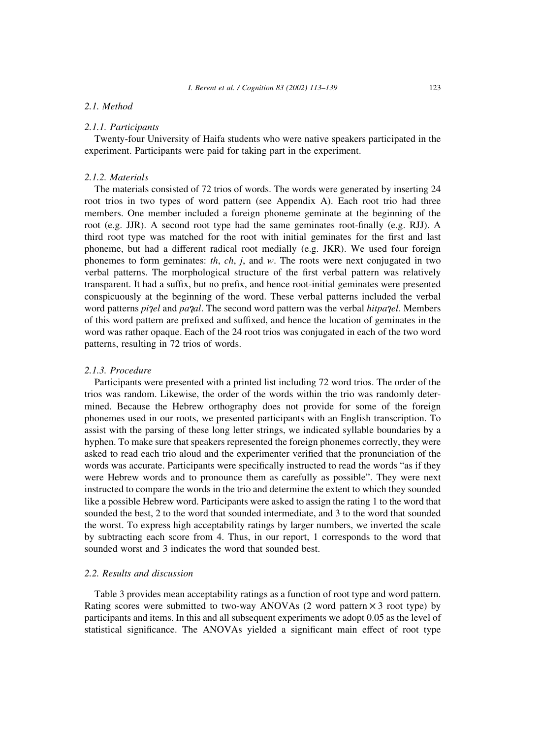# 2.1. Method

# 2.1.1. Participants

Twenty-four University of Haifa students who were native speakers participated in the experiment. Participants were paid for taking part in the experiment.

## 2.1.2. Materials

The materials consisted of 72 trios of words. The words were generated by inserting 24 root trios in two types of word pattern (see Appendix A). Each root trio had three members. One member included a foreign phoneme geminate at the beginning of the root (e.g. JJR). A second root type had the same geminates root-finally (e.g. RJJ). A third root type was matched for the root with initial geminates for the first and last phoneme, but had a different radical root medially (e.g. JKR). We used four foreign phonemes to form geminates:  $th$ ,  $ch$ ,  $i$ , and  $w$ . The roots were next conjugated in two verbal patterns. The morphological structure of the first verbal pattern was relatively transparent. It had a suffix, but no prefix, and hence root-initial geminates were presented conspicuously at the beginning of the word. These verbal patterns included the verbal word patterns pi ?el and pa ?al. The second word pattern was the verbal hitpa ?el. Members of this word pattern are prefixed and suffixed, and hence the location of geminates in the word was rather opaque. Each of the 24 root trios was conjugated in each of the two word patterns, resulting in 72 trios of words.

# 2.1.3. Procedure

Participants were presented with a printed list including 72 word trios. The order of the trios was random. Likewise, the order of the words within the trio was randomly determined. Because the Hebrew orthography does not provide for some of the foreign phonemes used in our roots, we presented participants with an English transcription. To assist with the parsing of these long letter strings, we indicated syllable boundaries by a hyphen. To make sure that speakers represented the foreign phonemes correctly, they were asked to read each trio aloud and the experimenter verified that the pronunciation of the words was accurate. Participants were specifically instructed to read the words "as if they were Hebrew words and to pronounce them as carefully as possible". They were next instructed to compare the words in the trio and determine the extent to which they sounded like a possible Hebrew word. Participants were asked to assign the rating 1 to the word that sounded the best, 2 to the word that sounded intermediate, and 3 to the word that sounded the worst. To express high acceptability ratings by larger numbers, we inverted the scale by subtracting each score from 4. Thus, in our report, 1 corresponds to the word that sounded worst and 3 indicates the word that sounded best.

# 2.2. Results and discussion

Table 3 provides mean acceptability ratings as a function of root type and word pattern. Rating scores were submitted to two-way ANOVAs  $(2 \text{ word pattern} \times 3 \text{ root type})$  by participants and items. In this and all subsequent experiments we adopt 0.05 as the level of statistical significance. The ANOVAs yielded a significant main effect of root type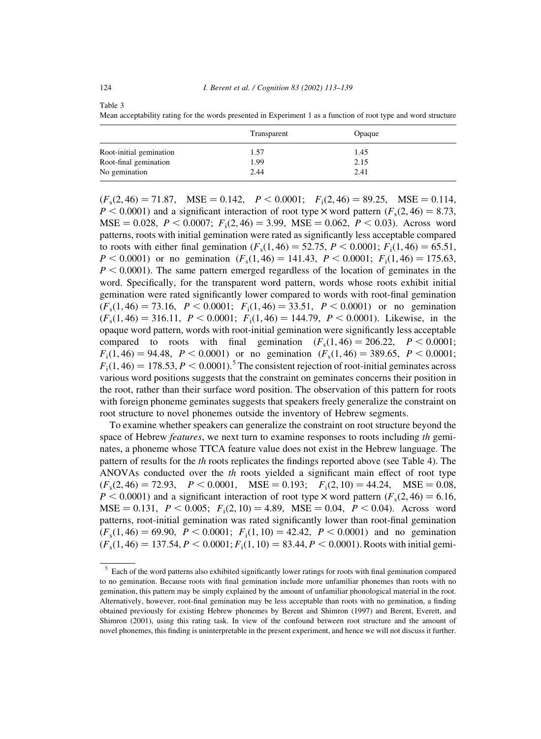Mean acceptability rating for the words presented in Experiment 1 as a function of root type and word structure

|                         | Transparent | Opaque |  |
|-------------------------|-------------|--------|--|
| Root-initial gemination | 1.57        | 1.45   |  |
| Root-final gemination   | 1.99        | 2.15   |  |
| No gemination           | 2.44        | 2.41   |  |

 $(F_s(2, 46) = 71.87, \quad \text{MSE} = 0.142, \quad P < 0.0001; \quad F_i(2, 46) = 89.25, \quad \text{MSE} = 0.114,$  $P < 0.0001$ ) and a significant interaction of root type  $\times$  word pattern ( $F_s(2, 46) = 8.73$ ,  $MSE = 0.028$ ,  $P < 0.0007$ ;  $F<sub>i</sub>(2, 46) = 3.99$ ,  $MSE = 0.062$ ,  $P < 0.03$ ). Across word patterns, roots with initial gemination were rated as significantly less acceptable compared to roots with either final gemination ( $F_s(1, 46) = 52.75$ ,  $P < 0.0001$ ;  $F_i(1, 46) = 65.51$ ,  $P < 0.0001$ ) or no gemination  $(F<sub>s</sub>(1, 46) = 141.43, P < 0.0001; F<sub>i</sub>(1, 46) = 175.63,$  $P < 0.0001$ ). The same pattern emerged regardless of the location of geminates in the word. Specifically, for the transparent word pattern, words whose roots exhibit initial gemination were rated significantly lower compared to words with root-final gemination  $(F_s(1, 46) = 73.16, P < 0.0001; F_i(1, 46) = 33.51, P < 0.0001$  or no gemination  $(F_s(1, 46) = 316.11, P < 0.0001; F_i(1, 46) = 144.79, P < 0.0001$ . Likewise, in the opaque word pattern, words with root-initial gemination were significantly less acceptable compared to roots with final gemination  $(F_s(1, 46) = 206.22, P < 0.0001;$  $F_1(1, 46) = 94.48$ ,  $P < 0.0001$ ) or no gemination  $(F_1(1, 46) = 389.65, P < 0.0001$ ;  $F_1(1, 46) = 178.53, P < 0.0001$ .<sup>5</sup> The consistent rejection of root-initial geminates across various word positions suggests that the constraint on geminates concerns their position in the root, rather than their surface word position. The observation of this pattern for roots with foreign phoneme geminates suggests that speakers freely generalize the constraint on root structure to novel phonemes outside the inventory of Hebrew segments.

To examine whether speakers can generalize the constraint on root structure beyond the space of Hebrew *features*, we next turn to examine responses to roots including th geminates, a phoneme whose TTCA feature value does not exist in the Hebrew language. The pattern of results for the th roots replicates the findings reported above (see Table 4). The ANOVAs conducted over the th roots yielded a significant main effect of root type  $(F_s(2, 46) = 72.93, P < 0.0001, \text{MSE} = 0.193; F_i(2, 10) = 44.24, \text{MSE} = 0.08,$  $P < 0.0001$ ) and a significant interaction of root type  $\times$  word pattern ( $F_s(2, 46) = 6.16$ ,  $MSE = 0.131, P < 0.005; F_1(2, 10) = 4.89, MSE = 0.04, P < 0.04$ . Across word patterns, root-initial gemination was rated significantly lower than root-final gemination  $(F_s(1, 46) = 69.90, P < 0.0001; F_i(1, 10) = 42.42, P < 0.0001$  and no gemination  $(F_s(1, 46) = 137.54, P < 0.0001; F_i(1, 10) = 83.44, P < 0.0001$ . Roots with initial gemi-

Table 3

<sup>&</sup>lt;sup>5</sup> Each of the word patterns also exhibited significantly lower ratings for roots with final gemination compared to no gemination. Because roots with final gemination include more unfamiliar phonemes than roots with no gemination, this pattern may be simply explained by the amount of unfamiliar phonological material in the root. Alternatively, however, root-final gemination may be less acceptable than roots with no gemination, a finding obtained previously for existing Hebrew phonemes by Berent and Shimron (1997) and Berent, Everett, and Shimron (2001), using this rating task. In view of the confound between root structure and the amount of novel phonemes, this finding is uninterpretable in the present experiment, and hence we will not discuss it further.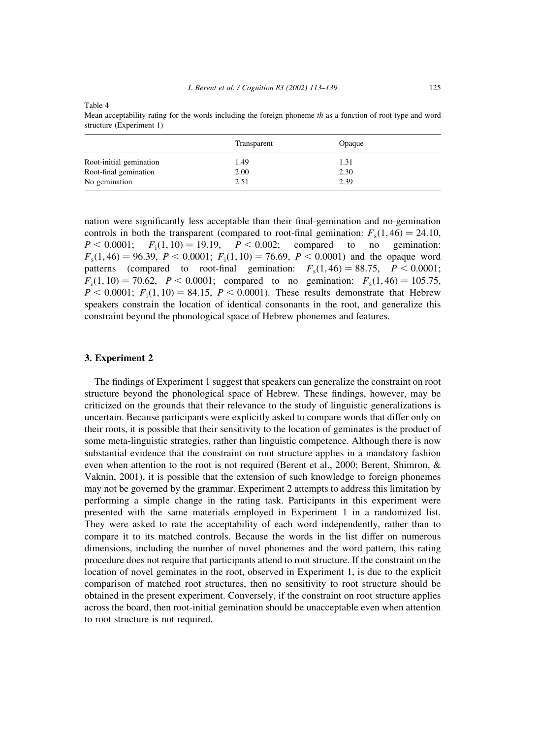Table 4

Mean acceptability rating for the words including the foreign phoneme th as a function of root type and word structure (Experiment 1)

|                         | Transparent | Opaque |  |
|-------------------------|-------------|--------|--|
| Root-initial gemination | 1.49        | 1.31   |  |
| Root-final gemination   | 2.00        | 2.30   |  |
| No gemination           | 2.51        | 2.39   |  |

nation were significantly less acceptable than their final-gemination and no-gemination controls in both the transparent (compared to root-final gemination:  $F_s(1, 46) = 24.10$ ,  $P < 0.0001$ ;  $F_1(1, 10) = 19.19$ ,  $P < 0.002$ ; compared to no gemination:  $F_s(1, 46) = 96.39$ ,  $P < 0.0001$ ;  $F_i(1, 10) = 76.69$ ,  $P < 0.0001$ ) and the opaque word patterns (compared to root-final gemination:  $F_s(1,46) = 88.75$ ,  $P < 0.0001$ ;  $F_1(1, 10) = 70.62$ ,  $P < 0.0001$ ; compared to no gemination:  $F_2(1, 46) = 105.75$ ,  $P < 0.0001$ ;  $F_1(1, 10) = 84.15$ ,  $P < 0.0001$ ). These results demonstrate that Hebrew speakers constrain the location of identical consonants in the root, and generalize this constraint beyond the phonological space of Hebrew phonemes and features.

# 3. Experiment 2

The findings of Experiment 1 suggest that speakers can generalize the constraint on root structure beyond the phonological space of Hebrew. These findings, however, may be criticized on the grounds that their relevance to the study of linguistic generalizations is uncertain. Because participants were explicitly asked to compare words that differ only on their roots, it is possible that their sensitivity to the location of geminates is the product of some meta-linguistic strategies, rather than linguistic competence. Although there is now substantial evidence that the constraint on root structure applies in a mandatory fashion even when attention to the root is not required (Berent et al., 2000; Berent, Shimron, & Vaknin, 2001), it is possible that the extension of such knowledge to foreign phonemes may not be governed by the grammar. Experiment 2 attempts to address this limitation by performing a simple change in the rating task. Participants in this experiment were presented with the same materials employed in Experiment 1 in a randomized list. They were asked to rate the acceptability of each word independently, rather than to compare it to its matched controls. Because the words in the list differ on numerous dimensions, including the number of novel phonemes and the word pattern, this rating procedure does not require that participants attend to root structure. If the constraint on the location of novel geminates in the root, observed in Experiment 1, is due to the explicit comparison of matched root structures, then no sensitivity to root structure should be obtained in the present experiment. Conversely, if the constraint on root structure applies across the board, then root-initial gemination should be unacceptable even when attention to root structure is not required.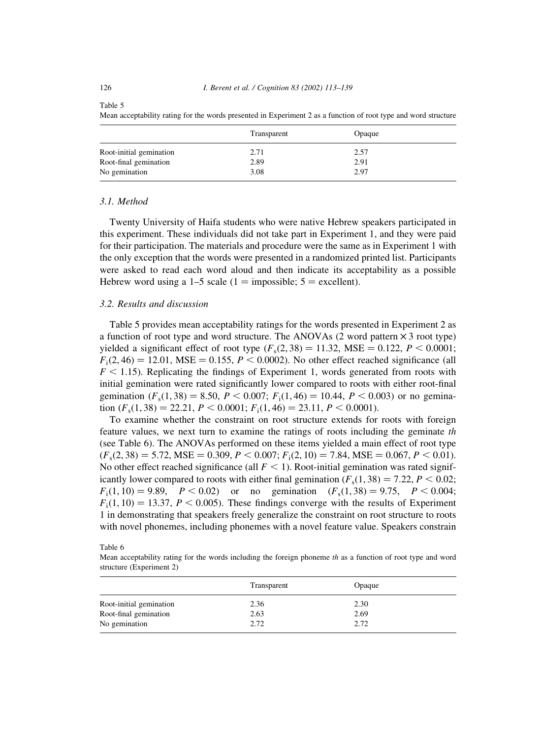|                         | Transparent | Opaque |
|-------------------------|-------------|--------|
| Root-initial gemination | 2.71        | 2.57   |
| Root-final gemination   | 2.89        | 2.91   |
| No gemination           | 3.08        | 2.97   |

#### Table 5

Mean acceptability rating for the words presented in Experiment 2 as a function of root type and word structure

### 3.1. Method

Twenty University of Haifa students who were native Hebrew speakers participated in this experiment. These individuals did not take part in Experiment 1, and they were paid for their participation. The materials and procedure were the same as in Experiment 1 with the only exception that the words were presented in a randomized printed list. Participants were asked to read each word aloud and then indicate its acceptability as a possible Hebrew word using a 1–5 scale (1 = impossible;  $5$  = excellent).

# 3.2. Results and discussion

Table 5 provides mean acceptability ratings for the words presented in Experiment 2 as a function of root type and word structure. The ANOVAs (2 word pattern  $\times$  3 root type) yielded a significant effect of root type  $(F_s(2, 38) = 11.32, \text{MSE} = 0.122, P < 0.0001;$  $F_1(2,46) = 12.01$ , MSE = 0.155, P < 0.0002). No other effect reached significance (all  $F < 1.15$ ). Replicating the findings of Experiment 1, words generated from roots with initial gemination were rated significantly lower compared to roots with either root-final gemination  $(F_s(1, 38) = 8.50, P < 0.007; F_i(1, 46) = 10.44, P < 0.003$  or no gemination  $(F_s(1, 38) = 22.21, P < 0.0001; F_i(1, 46) = 23.11, P < 0.0001$ .

To examine whether the constraint on root structure extends for roots with foreign feature values, we next turn to examine the ratings of roots including the geminate th (see Table 6). The ANOVAs performed on these items yielded a main effect of root type  $(F_s(2, 38) = 5.72, \text{MSE} = 0.309, P < 0.007; F_i(2, 10) = 7.84, \text{MSE} = 0.067, P < 0.01).$ No other effect reached significance (all  $F < 1$ ). Root-initial gemination was rated significantly lower compared to roots with either final gemination ( $F_s(1, 38) = 7.22$ ,  $P < 0.02$ ;  $F_1(1, 10) = 9.89$ ,  $P < 0.02$ ) or no gemination  $(F_1(1, 38)) = 9.75$ ,  $P < 0.004$ ;  $F_i(1, 10) = 13.37, P < 0.005$ ). These findings converge with the results of Experiment 1 in demonstrating that speakers freely generalize the constraint on root structure to roots with novel phonemes, including phonemes with a novel feature value. Speakers constrain

Table 6

Mean acceptability rating for the words including the foreign phoneme th as a function of root type and word structure (Experiment 2)

|                         | Transparent | Opaque |  |
|-------------------------|-------------|--------|--|
| Root-initial gemination | 2.36        | 2.30   |  |
| Root-final gemination   | 2.63        | 2.69   |  |
| No gemination           | 2.72        | 2.72   |  |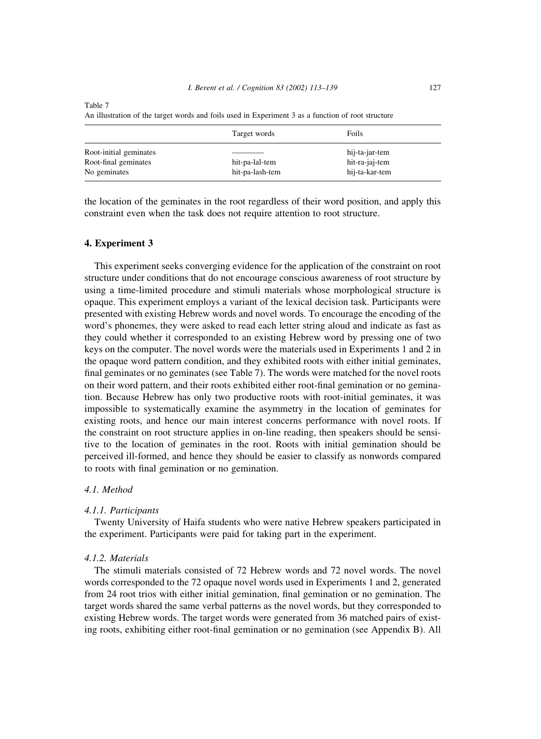|                        | Target words    | <b>Foils</b>   |  |
|------------------------|-----------------|----------------|--|
| Root-initial geminates |                 | hij-ta-jar-tem |  |
| Root-final geminates   | hit-pa-lal-tem  | hit-ra-jaj-tem |  |
| No geminates           | hit-pa-lash-tem | hij-ta-kar-tem |  |

Table 7

An illustration of the target words and foils used in Experiment 3 as a function of root structure

the location of the geminates in the root regardless of their word position, and apply this constraint even when the task does not require attention to root structure.

#### 4. Experiment 3

This experiment seeks converging evidence for the application of the constraint on root structure under conditions that do not encourage conscious awareness of root structure by using a time-limited procedure and stimuli materials whose morphological structure is opaque. This experiment employs a variant of the lexical decision task. Participants were presented with existing Hebrew words and novel words. To encourage the encoding of the word's phonemes, they were asked to read each letter string aloud and indicate as fast as they could whether it corresponded to an existing Hebrew word by pressing one of two keys on the computer. The novel words were the materials used in Experiments 1 and 2 in the opaque word pattern condition, and they exhibited roots with either initial geminates, final geminates or no geminates (see Table 7). The words were matched for the novel roots on their word pattern, and their roots exhibited either root-final gemination or no gemination. Because Hebrew has only two productive roots with root-initial geminates, it was impossible to systematically examine the asymmetry in the location of geminates for existing roots, and hence our main interest concerns performance with novel roots. If the constraint on root structure applies in on-line reading, then speakers should be sensitive to the location of geminates in the root. Roots with initial gemination should be perceived ill-formed, and hence they should be easier to classify as nonwords compared to roots with final gemination or no gemination.

### 4.1. Method

## 4.1.1. Participants

Twenty University of Haifa students who were native Hebrew speakers participated in the experiment. Participants were paid for taking part in the experiment.

### 4.1.2. Materials

The stimuli materials consisted of 72 Hebrew words and 72 novel words. The novel words corresponded to the 72 opaque novel words used in Experiments 1 and 2, generated from 24 root trios with either initial gemination, final gemination or no gemination. The target words shared the same verbal patterns as the novel words, but they corresponded to existing Hebrew words. The target words were generated from 36 matched pairs of existing roots, exhibiting either root-final gemination or no gemination (see Appendix B). All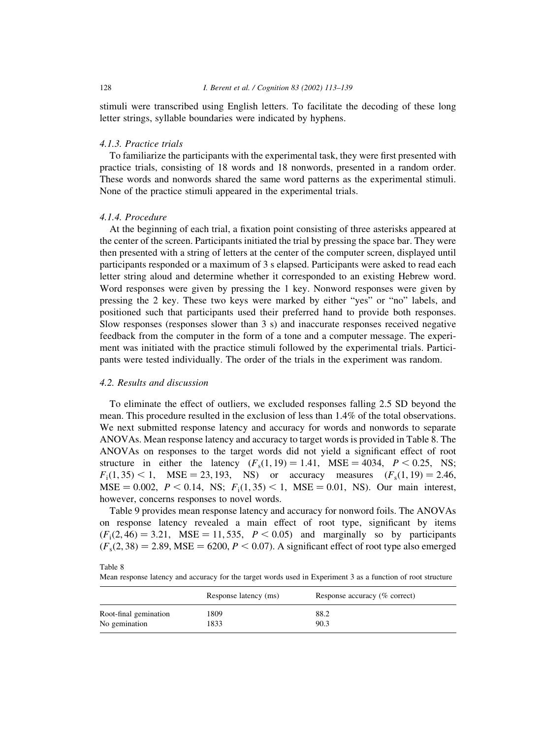stimuli were transcribed using English letters. To facilitate the decoding of these long letter strings, syllable boundaries were indicated by hyphens.

# 4.1.3. Practice trials

To familiarize the participants with the experimental task, they were first presented with practice trials, consisting of 18 words and 18 nonwords, presented in a random order. These words and nonwords shared the same word patterns as the experimental stimuli. None of the practice stimuli appeared in the experimental trials.

## 4.1.4. Procedure

At the beginning of each trial, a fixation point consisting of three asterisks appeared at the center of the screen. Participants initiated the trial by pressing the space bar. They were then presented with a string of letters at the center of the computer screen, displayed until participants responded or a maximum of 3 s elapsed. Participants were asked to read each letter string aloud and determine whether it corresponded to an existing Hebrew word. Word responses were given by pressing the 1 key. Nonword responses were given by pressing the 2 key. These two keys were marked by either "yes" or "no" labels, and positioned such that participants used their preferred hand to provide both responses. Slow responses (responses slower than 3 s) and inaccurate responses received negative feedback from the computer in the form of a tone and a computer message. The experiment was initiated with the practice stimuli followed by the experimental trials. Participants were tested individually. The order of the trials in the experiment was random.

# 4.2. Results and discussion

To eliminate the effect of outliers, we excluded responses falling 2.5 SD beyond the mean. This procedure resulted in the exclusion of less than 1.4% of the total observations. We next submitted response latency and accuracy for words and nonwords to separate ANOVAs. Mean response latency and accuracy to target words is provided in Table 8. The ANOVAs on responses to the target words did not yield a significant effect of root structure in either the latency  $(F_s(1, 19) = 1.41, \text{MSE} = 4034, P < 0.25, \text{NS};$  $F_1(1,35) < 1$ , MSE = 23, 193, NS) or accuracy measures  $(F_1(1,19) = 2.46$ ,  $MSE = 0.002$ ,  $P < 0.14$ , NS;  $F_1(1, 35) < 1$ , MSE = 0.01, NS). Our main interest, however, concerns responses to novel words.

Table 9 provides mean response latency and accuracy for nonword foils. The ANOVAs on response latency revealed a main effect of root type, significant by items  $(F<sub>i</sub>(2, 46) = 3.21, MSE = 11, 535, P < 0.05)$  and marginally so by participants  $(F<sub>s</sub>(2, 38) = 2.89, MSE = 6200, P < 0.07)$ . A significant effect of root type also emerged

Table 8

Mean response latency and accuracy for the target words used in Experiment 3 as a function of root structure

|                       | Response latency (ms) | Response accuracy (% correct) |
|-----------------------|-----------------------|-------------------------------|
| Root-final gemination | 1809                  | 88.2                          |
| No gemination         | 1833                  | 90.3                          |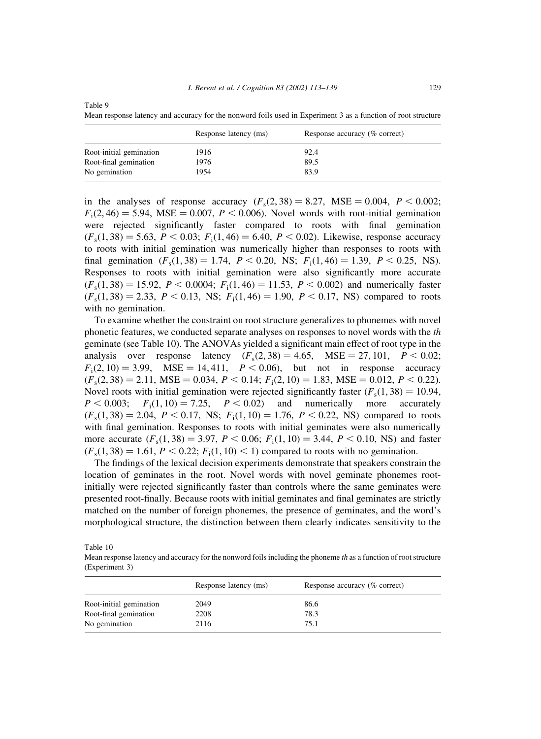|                         | Response latency (ms) | Response accuracy (% correct) |
|-------------------------|-----------------------|-------------------------------|
| Root-initial gemination | 1916                  | 92.4                          |
| Root-final gemination   | 1976                  | 89.5                          |
| No gemination           | 1954                  | 83.9                          |

Table 9 Mean response latency and accuracy for the nonword foils used in Experiment 3 as a function of root structure

in the analyses of response accuracy  $(F_s(2, 38) = 8.27, \text{ MSE} = 0.004, P < 0.002;$  $F_1(2, 46) = 5.94$ , MSE = 0.007, P < 0.006). Novel words with root-initial gemination were rejected significantly faster compared to roots with final gemination  $(F_s(1, 38) = 5.63, P < 0.03; F_i(1, 46) = 6.40, P < 0.02)$ . Likewise, response accuracy to roots with initial gemination was numerically higher than responses to roots with final gemination  $(F_s(1, 38) = 1.74, P < 0.20, NS; F_i(1, 46) = 1.39, P < 0.25, NS$ . Responses to roots with initial gemination were also significantly more accurate  $(F<sub>s</sub>(1,38) = 15.92, P < 0.0004; F<sub>i</sub>(1,46) = 11.53, P < 0.002)$  and numerically faster  $(F_s(1, 38) = 2.33, P \le 0.13, NS; F_i(1, 46) = 1.90, P \le 0.17, NS$  compared to roots with no gemination.

To examine whether the constraint on root structure generalizes to phonemes with novel phonetic features, we conducted separate analyses on responses to novel words with the th geminate (see Table 10). The ANOVAs yielded a significant main effect of root type in the analysis over response latency  $(F_s(2, 38) = 4.65, \text{MSE} = 27, 101, P < 0.02;$  $F_1(2, 10) = 3.99$ , MSE = 14,411,  $P \le 0.06$ ), but not in response accuracy  $(F_s(2, 38) = 2.11, \text{ MSE} = 0.034, P < 0.14; F_i(2, 10) = 1.83, \text{ MSE} = 0.012, P < 0.22).$ Novel roots with initial gemination were rejected significantly faster  $(F_s(1, 38) = 10.94$ ,<br> $P < 0.003$ ;  $F_i(1, 10) = 7.25$ ,  $P < 0.02$ ) and numerically more accurately  $P < 0.02$ ) and numerically more accurately  $(F_s(1, 38) = 2.04, P < 0.17, NS; F_i(1, 10) = 1.76, P < 0.22, NS$  compared to roots with final gemination. Responses to roots with initial geminates were also numerically more accurate  $(F_s(1, 38) = 3.97, P < 0.06; F_i(1, 10) = 3.44, P < 0.10, NS$  and faster  $(F_s(1, 38) = 1.61, P < 0.22; F_i(1, 10) < 1)$  compared to roots with no gemination.

The findings of the lexical decision experiments demonstrate that speakers constrain the location of geminates in the root. Novel words with novel geminate phonemes rootinitially were rejected significantly faster than controls where the same geminates were presented root-finally. Because roots with initial geminates and final geminates are strictly matched on the number of foreign phonemes, the presence of geminates, and the word's morphological structure, the distinction between them clearly indicates sensitivity to the

Table 10

Mean response latency and accuracy for the nonword foils including the phoneme  $th$  as a function of root structure (Experiment 3)

|                                        | Response latency (ms) | Response accuracy (% correct) |
|----------------------------------------|-----------------------|-------------------------------|
| Root-initial gemination                | 2049                  | 86.6                          |
| Root-final gemination<br>No gemination | 2208<br>2116          | 78.3<br>75.1                  |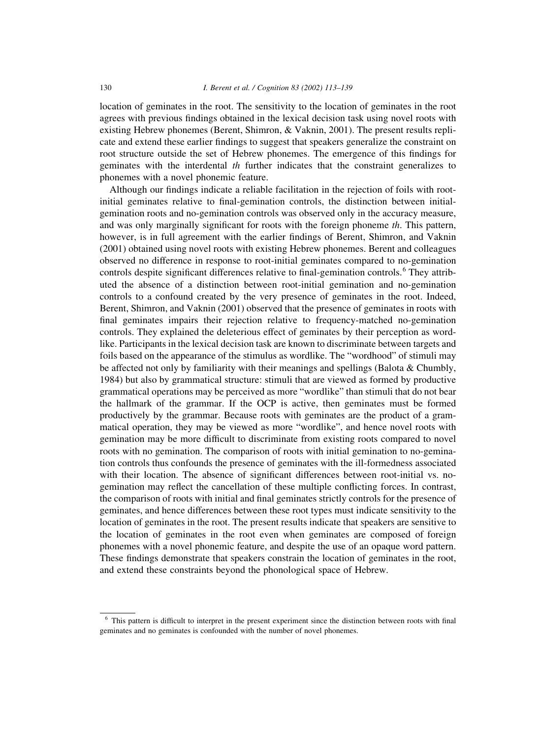location of geminates in the root. The sensitivity to the location of geminates in the root agrees with previous findings obtained in the lexical decision task using novel roots with existing Hebrew phonemes (Berent, Shimron, & Vaknin, 2001). The present results replicate and extend these earlier findings to suggest that speakers generalize the constraint on root structure outside the set of Hebrew phonemes. The emergence of this findings for geminates with the interdental th further indicates that the constraint generalizes to phonemes with a novel phonemic feature.

Although our findings indicate a reliable facilitation in the rejection of foils with rootinitial geminates relative to final-gemination controls, the distinction between initialgemination roots and no-gemination controls was observed only in the accuracy measure, and was only marginally significant for roots with the foreign phoneme th. This pattern, however, is in full agreement with the earlier findings of Berent, Shimron, and Vaknin (2001) obtained using novel roots with existing Hebrew phonemes. Berent and colleagues observed no difference in response to root-initial geminates compared to no-gemination controls despite significant differences relative to final-gemination controls.<sup>6</sup> They attributed the absence of a distinction between root-initial gemination and no-gemination controls to a confound created by the very presence of geminates in the root. Indeed, Berent, Shimron, and Vaknin (2001) observed that the presence of geminates in roots with final geminates impairs their rejection relative to frequency-matched no-gemination controls. They explained the deleterious effect of geminates by their perception as wordlike. Participants in the lexical decision task are known to discriminate between targets and foils based on the appearance of the stimulus as wordlike. The "wordhood" of stimuli may be affected not only by familiarity with their meanings and spellings (Balota & Chumbly, 1984) but also by grammatical structure: stimuli that are viewed as formed by productive grammatical operations may be perceived as more "wordlike" than stimuli that do not bear the hallmark of the grammar. If the OCP is active, then geminates must be formed productively by the grammar. Because roots with geminates are the product of a grammatical operation, they may be viewed as more "wordlike", and hence novel roots with gemination may be more difficult to discriminate from existing roots compared to novel roots with no gemination. The comparison of roots with initial gemination to no-gemination controls thus confounds the presence of geminates with the ill-formedness associated with their location. The absence of significant differences between root-initial vs. nogemination may reflect the cancellation of these multiple conflicting forces. In contrast, the comparison of roots with initial and final geminates strictly controls for the presence of geminates, and hence differences between these root types must indicate sensitivity to the location of geminates in the root. The present results indicate that speakers are sensitive to the location of geminates in the root even when geminates are composed of foreign phonemes with a novel phonemic feature, and despite the use of an opaque word pattern. These findings demonstrate that speakers constrain the location of geminates in the root, and extend these constraints beyond the phonological space of Hebrew.

<sup>6</sup> This pattern is difficult to interpret in the present experiment since the distinction between roots with final geminates and no geminates is confounded with the number of novel phonemes.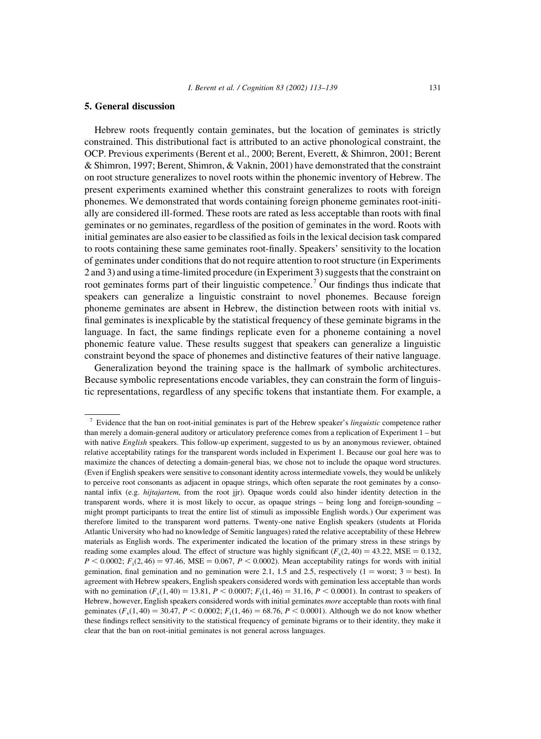# 5. General discussion

Hebrew roots frequently contain geminates, but the location of geminates is strictly constrained. This distributional fact is attributed to an active phonological constraint, the OCP. Previous experiments (Berent et al., 2000; Berent, Everett, & Shimron, 2001; Berent & Shimron, 1997; Berent, Shimron, & Vaknin, 2001) have demonstrated that the constraint on root structure generalizes to novel roots within the phonemic inventory of Hebrew. The present experiments examined whether this constraint generalizes to roots with foreign phonemes. We demonstrated that words containing foreign phoneme geminates root-initially are considered ill-formed. These roots are rated as less acceptable than roots with final geminates or no geminates, regardless of the position of geminates in the word. Roots with initial geminates are also easier to be classified as foils in the lexical decision task compared to roots containing these same geminates root-finally. Speakers' sensitivity to the location of geminates under conditions that do not require attention to root structure (in Experiments 2 and 3) and using a time-limited procedure (in Experiment 3) suggests that the constraint on root geminates forms part of their linguistic competence.<sup>7</sup> Our findings thus indicate that speakers can generalize a linguistic constraint to novel phonemes. Because foreign phoneme geminates are absent in Hebrew, the distinction between roots with initial vs. final geminates is inexplicable by the statistical frequency of these geminate bigrams in the language. In fact, the same findings replicate even for a phoneme containing a novel phonemic feature value. These results suggest that speakers can generalize a linguistic constraint beyond the space of phonemes and distinctive features of their native language.

Generalization beyond the training space is the hallmark of symbolic architectures. Because symbolic representations encode variables, they can constrain the form of linguistic representations, regardless of any specific tokens that instantiate them. For example, a

<sup>&</sup>lt;sup>7</sup> Evidence that the ban on root-initial geminates is part of the Hebrew speaker's linguistic competence rather than merely a domain-general auditory or articulatory preference comes from a replication of Experiment 1 – but with native English speakers. This follow-up experiment, suggested to us by an anonymous reviewer, obtained relative acceptability ratings for the transparent words included in Experiment 1. Because our goal here was to maximize the chances of detecting a domain-general bias, we chose not to include the opaque word structures. (Even if English speakers were sensitive to consonant identity across intermediate vowels, they would be unlikely to perceive root consonants as adjacent in opaque strings, which often separate the root geminates by a consonantal infix (e.g. hijtajartem, from the root jjr). Opaque words could also hinder identity detection in the transparent words, where it is most likely to occur, as opaque strings – being long and foreign-sounding – might prompt participants to treat the entire list of stimuli as impossible English words.) Our experiment was therefore limited to the transparent word patterns. Twenty-one native English speakers (students at Florida Atlantic University who had no knowledge of Semitic languages) rated the relative acceptability of these Hebrew materials as English words. The experimenter indicated the location of the primary stress in these strings by reading some examples aloud. The effect of structure was highly significant  $(F_s(2, 40) = 43.22$ , MSE = 0.132,  $P < 0.0002$ ;  $F_1(2, 46) = 97.46$ , MSE = 0.067,  $P < 0.0002$ ). Mean acceptability ratings for words with initial gemination, final gemination and no gemination were 2.1, 1.5 and 2.5, respectively  $(1 = \text{worst}; 3 = \text{best})$ . In agreement with Hebrew speakers, English speakers considered words with gemination less acceptable than words with no gemination  $(F_s(1, 40) = 13.81, P \le 0.0007; F_i(1, 46) = 31.16, P \le 0.0001$ . In contrast to speakers of Hebrew, however, English speakers considered words with initial geminates *more* acceptable than roots with final geminates  $(F_s(1, 40) = 30.47, P < 0.0002; F_i(1, 46) = 68.76, P < 0.0001$ . Although we do not know whether these findings reflect sensitivity to the statistical frequency of geminate bigrams or to their identity, they make it clear that the ban on root-initial geminates is not general across languages.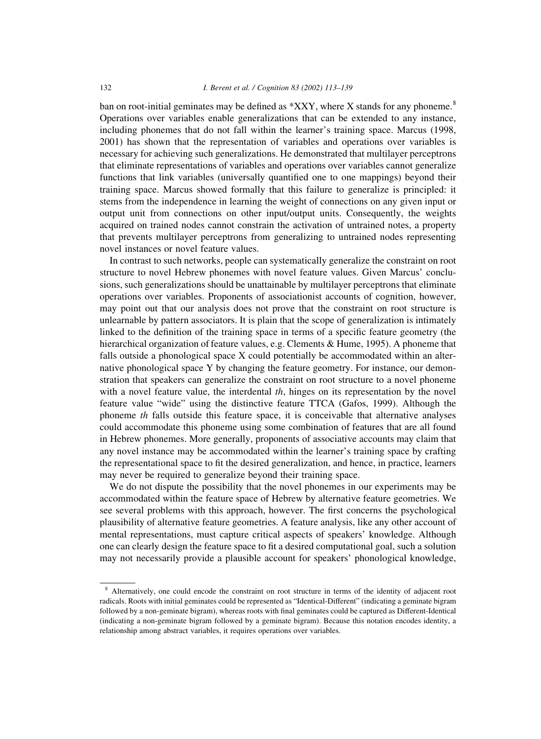ban on root-initial geminates may be defined as  $*{\text{XXY}}$ , where X stands for any phoneme.<sup>8</sup> Operations over variables enable generalizations that can be extended to any instance, including phonemes that do not fall within the learner's training space. Marcus (1998, 2001) has shown that the representation of variables and operations over variables is necessary for achieving such generalizations. He demonstrated that multilayer perceptrons that eliminate representations of variables and operations over variables cannot generalize functions that link variables (universally quantified one to one mappings) beyond their training space. Marcus showed formally that this failure to generalize is principled: it stems from the independence in learning the weight of connections on any given input or output unit from connections on other input/output units. Consequently, the weights acquired on trained nodes cannot constrain the activation of untrained notes, a property that prevents multilayer perceptrons from generalizing to untrained nodes representing novel instances or novel feature values.

In contrast to such networks, people can systematically generalize the constraint on root structure to novel Hebrew phonemes with novel feature values. Given Marcus' conclusions, such generalizations should be unattainable by multilayer perceptrons that eliminate operations over variables. Proponents of associationist accounts of cognition, however, may point out that our analysis does not prove that the constraint on root structure is unlearnable by pattern associators. It is plain that the scope of generalization is intimately linked to the definition of the training space in terms of a specific feature geometry (the hierarchical organization of feature values, e.g. Clements & Hume, 1995). A phoneme that falls outside a phonological space X could potentially be accommodated within an alternative phonological space Y by changing the feature geometry. For instance, our demonstration that speakers can generalize the constraint on root structure to a novel phoneme with a novel feature value, the interdental  $th$ , hinges on its representation by the novel feature value "wide" using the distinctive feature TTCA (Gafos, 1999). Although the phoneme th falls outside this feature space, it is conceivable that alternative analyses could accommodate this phoneme using some combination of features that are all found in Hebrew phonemes. More generally, proponents of associative accounts may claim that any novel instance may be accommodated within the learner's training space by crafting the representational space to fit the desired generalization, and hence, in practice, learners may never be required to generalize beyond their training space.

We do not dispute the possibility that the novel phonemes in our experiments may be accommodated within the feature space of Hebrew by alternative feature geometries. We see several problems with this approach, however. The first concerns the psychological plausibility of alternative feature geometries. A feature analysis, like any other account of mental representations, must capture critical aspects of speakers' knowledge. Although one can clearly design the feature space to fit a desired computational goal, such a solution may not necessarily provide a plausible account for speakers' phonological knowledge,

<sup>&</sup>lt;sup>8</sup> Alternatively, one could encode the constraint on root structure in terms of the identity of adjacent root radicals. Roots with initial geminates could be represented as "Identical-Different" (indicating a geminate bigram followed by a non-geminate bigram), whereas roots with final geminates could be captured as Different-Identical (indicating a non-geminate bigram followed by a geminate bigram). Because this notation encodes identity, a relationship among abstract variables, it requires operations over variables.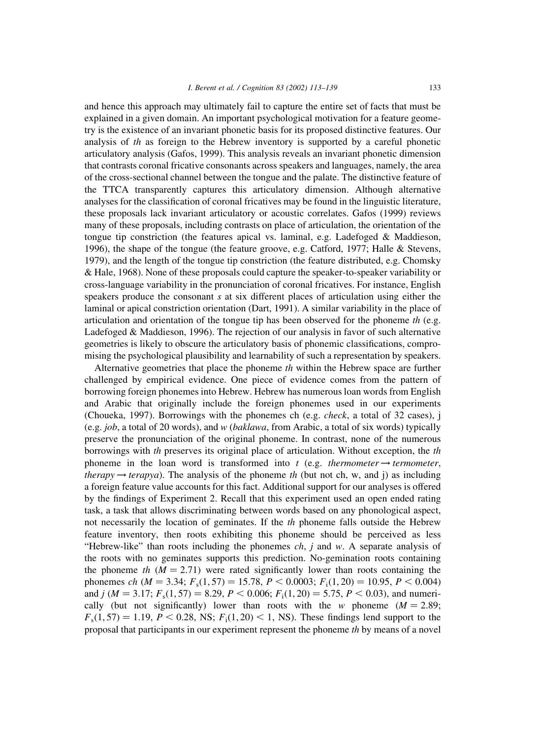and hence this approach may ultimately fail to capture the entire set of facts that must be explained in a given domain. An important psychological motivation for a feature geometry is the existence of an invariant phonetic basis for its proposed distinctive features. Our analysis of th as foreign to the Hebrew inventory is supported by a careful phonetic articulatory analysis (Gafos, 1999). This analysis reveals an invariant phonetic dimension that contrasts coronal fricative consonants across speakers and languages, namely, the area of the cross-sectional channel between the tongue and the palate. The distinctive feature of the TTCA transparently captures this articulatory dimension. Although alternative analyses for the classification of coronal fricatives may be found in the linguistic literature, these proposals lack invariant articulatory or acoustic correlates. Gafos (1999) reviews many of these proposals, including contrasts on place of articulation, the orientation of the tongue tip constriction (the features apical vs. laminal, e.g. Ladefoged & Maddieson, 1996), the shape of the tongue (the feature groove, e.g. Catford, 1977; Halle & Stevens, 1979), and the length of the tongue tip constriction (the feature distributed, e.g. Chomsky & Hale, 1968). None of these proposals could capture the speaker-to-speaker variability or cross-language variability in the pronunciation of coronal fricatives. For instance, English speakers produce the consonant s at six different places of articulation using either the laminal or apical constriction orientation (Dart, 1991). A similar variability in the place of articulation and orientation of the tongue tip has been observed for the phoneme  $th$  (e.g. Ladefoged & Maddieson, 1996). The rejection of our analysis in favor of such alternative geometries is likely to obscure the articulatory basis of phonemic classifications, compromising the psychological plausibility and learnability of such a representation by speakers.

Alternative geometries that place the phoneme th within the Hebrew space are further challenged by empirical evidence. One piece of evidence comes from the pattern of borrowing foreign phonemes into Hebrew. Hebrew has numerous loan words from English and Arabic that originally include the foreign phonemes used in our experiments (Choueka, 1997). Borrowings with the phonemes ch (e.g. check, a total of 32 cases), j (e.g. *job*, a total of 20 words), and w (*baklawa*, from Arabic, a total of six words) typically preserve the pronunciation of the original phoneme. In contrast, none of the numerous borrowings with th preserves its original place of articulation. Without exception, the th phoneme in the loan word is transformed into t (e.g. thermometer  $\rightarrow$  termometer, *therapy*  $\rightarrow$  *terapya*). The analysis of the phoneme *th* (but not ch, w, and j) as including a foreign feature value accounts for this fact. Additional support for our analyses is offered by the findings of Experiment 2. Recall that this experiment used an open ended rating task, a task that allows discriminating between words based on any phonological aspect, not necessarily the location of geminates. If the th phoneme falls outside the Hebrew feature inventory, then roots exhibiting this phoneme should be perceived as less "Hebrew-like" than roots including the phonemes  $ch$ , j and w. A separate analysis of the roots with no geminates supports this prediction. No-gemination roots containing the phoneme th  $(M = 2.71)$  were rated significantly lower than roots containing the phonemes ch ( $M = 3.34$ ;  $F_s(1, 57) = 15.78$ ,  $P < 0.0003$ ;  $F_i(1, 20) = 10.95$ ,  $P < 0.004$ ) and  $j$  ( $M = 3.17$ ;  $F_s(1, 57) = 8.29$ ,  $P < 0.006$ ;  $F_i(1, 20) = 5.75$ ,  $P < 0.03$ ), and numerically (but not significantly) lower than roots with the w phoneme  $(M = 2.89)$ ;  $F_s(1, 57) = 1.19, P < 0.28, NS$ ;  $F_i(1, 20) < 1, NS$ ). These findings lend support to the proposal that participants in our experiment represent the phoneme th by means of a novel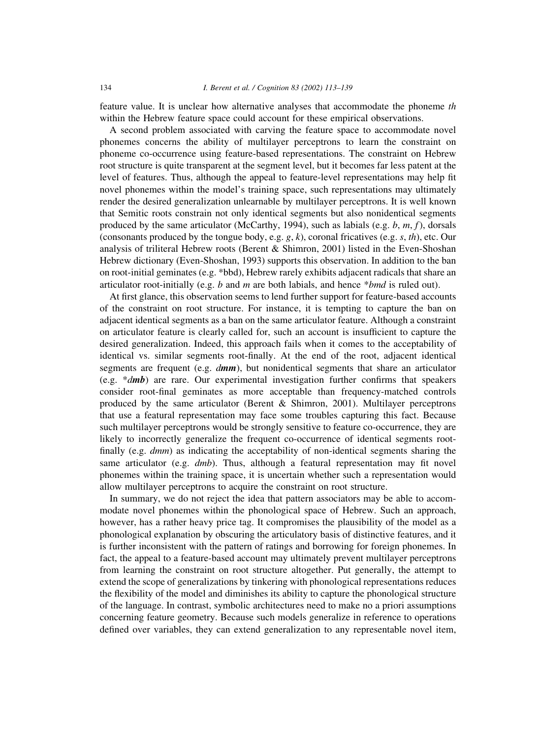feature value. It is unclear how alternative analyses that accommodate the phoneme th within the Hebrew feature space could account for these empirical observations.

A second problem associated with carving the feature space to accommodate novel phonemes concerns the ability of multilayer perceptrons to learn the constraint on phoneme co-occurrence using feature-based representations. The constraint on Hebrew root structure is quite transparent at the segment level, but it becomes far less patent at the level of features. Thus, although the appeal to feature-level representations may help fit novel phonemes within the model's training space, such representations may ultimately render the desired generalization unlearnable by multilayer perceptrons. It is well known that Semitic roots constrain not only identical segments but also nonidentical segments produced by the same articulator (McCarthy, 1994), such as labials (e.g. b,  $m, f$ ), dorsals (consonants produced by the tongue body, e.g.  $g$ ,  $k$ ), coronal fricatives (e.g.  $s$ ,  $th$ ), etc. Our analysis of triliteral Hebrew roots (Berent & Shimron, 2001) listed in the Even-Shoshan Hebrew dictionary (Even-Shoshan, 1993) supports this observation. In addition to the ban on root-initial geminates (e.g. \*bbd), Hebrew rarely exhibits adjacent radicals that share an articulator root-initially (e.g.  $b$  and  $m$  are both labials, and hence  $*bmd$  is ruled out).

At first glance, this observation seems to lend further support for feature-based accounts of the constraint on root structure. For instance, it is tempting to capture the ban on adjacent identical segments as a ban on the same articulator feature. Although a constraint on articulator feature is clearly called for, such an account is insufficient to capture the desired generalization. Indeed, this approach fails when it comes to the acceptability of identical vs. similar segments root-finally. At the end of the root, adjacent identical segments are frequent (e.g.  $dmm$ ), but nonidentical segments that share an articulator (e.g.  $*dmb$ ) are rare. Our experimental investigation further confirms that speakers consider root-final geminates as more acceptable than frequency-matched controls produced by the same articulator (Berent  $\&$  Shimron, 2001). Multilayer perceptrons that use a featural representation may face some troubles capturing this fact. Because such multilayer perceptrons would be strongly sensitive to feature co-occurrence, they are likely to incorrectly generalize the frequent co-occurrence of identical segments rootfinally (e.g. dmm) as indicating the acceptability of non-identical segments sharing the same articulator (e.g.  $dmb$ ). Thus, although a featural representation may fit novel phonemes within the training space, it is uncertain whether such a representation would allow multilayer perceptrons to acquire the constraint on root structure.

In summary, we do not reject the idea that pattern associators may be able to accommodate novel phonemes within the phonological space of Hebrew. Such an approach, however, has a rather heavy price tag. It compromises the plausibility of the model as a phonological explanation by obscuring the articulatory basis of distinctive features, and it is further inconsistent with the pattern of ratings and borrowing for foreign phonemes. In fact, the appeal to a feature-based account may ultimately prevent multilayer perceptrons from learning the constraint on root structure altogether. Put generally, the attempt to extend the scope of generalizations by tinkering with phonological representations reduces the flexibility of the model and diminishes its ability to capture the phonological structure of the language. In contrast, symbolic architectures need to make no a priori assumptions concerning feature geometry. Because such models generalize in reference to operations defined over variables, they can extend generalization to any representable novel item,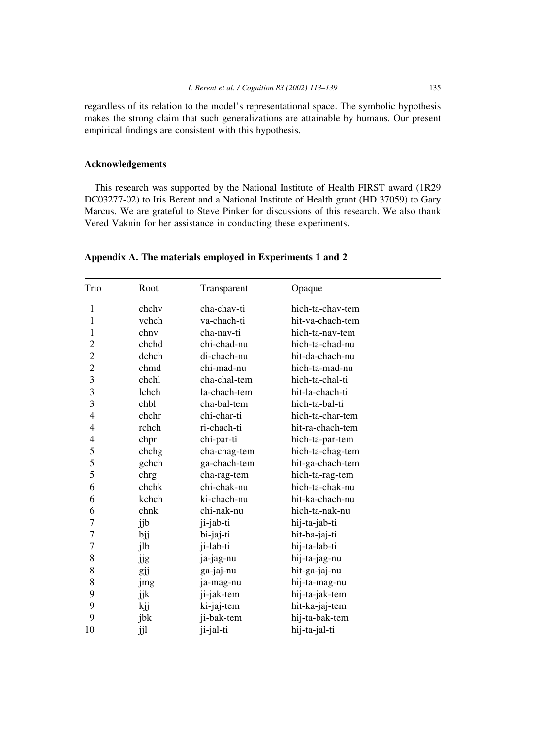regardless of its relation to the model's representational space. The symbolic hypothesis makes the strong claim that such generalizations are attainable by humans. Our present empirical findings are consistent with this hypothesis.

# Acknowledgements

This research was supported by the National Institute of Health FIRST award (1R29 DC03277-02) to Iris Berent and a National Institute of Health grant (HD 37059) to Gary Marcus. We are grateful to Steve Pinker for discussions of this research. We also thank Vered Vaknin for her assistance in conducting these experiments.

| Trio           | Root  | Transparent  | Opaque           |
|----------------|-------|--------------|------------------|
| 1              | chchy | cha-chav-ti  | hich-ta-chav-tem |
| 1              | vchch | va-chach-ti  | hit-va-chach-tem |
| 1              | chnv  | cha-nav-ti   | hich-ta-nav-tem  |
| $\overline{2}$ | chchd | chi-chad-nu  | hich-ta-chad-nu  |
| $\overline{c}$ | dchch | di-chach-nu  | hit-da-chach-nu  |
| $\overline{c}$ | chmd  | chi-mad-nu   | hich-ta-mad-nu   |
| 3              | chchl | cha-chal-tem | hich-ta-chal-ti  |
| 3              | lchch | la-chach-tem | hit-la-chach-ti  |
| 3              | chbl  | cha-bal-tem  | hich-ta-bal-ti   |
| 4              | chchr | chi-char-ti  | hich-ta-char-tem |
| 4              | rchch | ri-chach-ti  | hit-ra-chach-tem |
| 4              | chpr  | chi-par-ti   | hich-ta-par-tem  |
| 5              | chchg | cha-chag-tem | hich-ta-chag-tem |
| 5              | gchch | ga-chach-tem | hit-ga-chach-tem |
| 5              | chrg  | cha-rag-tem  | hich-ta-rag-tem  |
| 6              | chchk | chi-chak-nu  | hich-ta-chak-nu  |
| 6              | kchch | ki-chach-nu  | hit-ka-chach-nu  |
| 6              | chnk  | chi-nak-nu   | hich-ta-nak-nu   |
| 7              | jjb   | ji-jab-ti    | hij-ta-jab-ti    |
| 7              | bjj   | bi-jaj-ti    | hit-ba-jaj-ti    |
| 7              | jlb   | ji-lab-ti    | hij-ta-lab-ti    |
| 8              | jjg   | ja-jag-nu    | hij-ta-jag-nu    |
| 8              | gjj   | ga-jaj-nu    | hit-ga-jaj-nu    |
| 8              | jmg   | ja-mag-nu    | hij-ta-mag-nu    |
| 9              | jjk   | ji-jak-tem   | hij-ta-jak-tem   |
| 9              | kjj   | ki-jaj-tem   | hit-ka-jaj-tem   |
| 9              | jbk   | ji-bak-tem   | hij-ta-bak-tem   |
| 10             | jjl   | ji-jal-ti    | hij-ta-jal-ti    |

# Appendix A. The materials employed in Experiments 1 and 2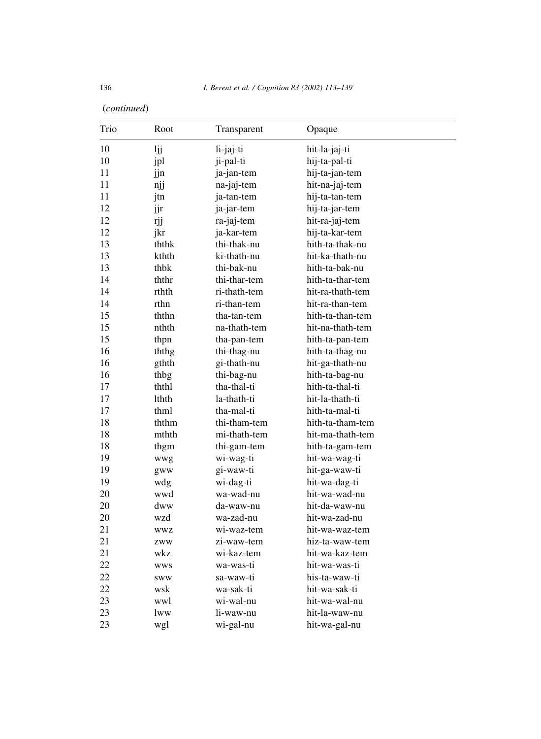| Trio | Root         | Transparent  | Opaque           |  |
|------|--------------|--------------|------------------|--|
| 10   | ljj          | li-jaj-ti    | hit-la-jaj-ti    |  |
| 10   | jpl          | ji-pal-ti    | hij-ta-pal-ti    |  |
| 11   | jjn          | ja-jan-tem   | hij-ta-jan-tem   |  |
| 11   | njj          | na-jaj-tem   | hit-na-jaj-tem   |  |
| 11   | jtn          | ja-tan-tem   | hij-ta-tan-tem   |  |
| 12   | jjr          | ja-jar-tem   | hij-ta-jar-tem   |  |
| 12   | rjj          | ra-jaj-tem   | hit-ra-jaj-tem   |  |
| 12   | jkr          | ja-kar-tem   | hij-ta-kar-tem   |  |
| 13   | ththk        | thi-thak-nu  | hith-ta-thak-nu  |  |
| 13   | kthth        | ki-thath-nu  | hit-ka-thath-nu  |  |
| 13   | thbk         | thi-bak-nu   | hith-ta-bak-nu   |  |
| 14   | ththr        | thi-thar-tem | hith-ta-thar-tem |  |
| 14   | rthth        | ri-thath-tem | hit-ra-thath-tem |  |
| 14   | rthn         | ri-than-tem  | hit-ra-than-tem  |  |
| 15   | ththn        | tha-tan-tem  | hith-ta-than-tem |  |
| 15   | nthth        | na-thath-tem | hit-na-thath-tem |  |
| 15   | thpn         | tha-pan-tem  | hith-ta-pan-tem  |  |
| 16   | ththg        | thi-thag-nu  | hith-ta-thag-nu  |  |
| 16   | gthth        | gi-thath-nu  | hit-ga-thath-nu  |  |
| 16   | thbg         | thi-bag-nu   | hith-ta-bag-nu   |  |
| 17   | ththl        | tha-thal-ti  | hith-ta-thal-ti  |  |
| 17   | <b>lthth</b> | la-thath-ti  | hit-la-thath-ti  |  |
| 17   | thml         | tha-mal-ti   | hith-ta-mal-ti   |  |
| 18   | ththm        | thi-tham-tem | hith-ta-tham-tem |  |
| 18   | mthth        | mi-thath-tem | hit-ma-thath-tem |  |
| 18   | thgm         | thi-gam-tem  | hith-ta-gam-tem  |  |
| 19   | wwg          | wi-wag-ti    | hit-wa-wag-ti    |  |
| 19   | gww          | gi-waw-ti    | hit-ga-waw-ti    |  |
| 19   | wdg          | wi-dag-ti    | hit-wa-dag-ti    |  |
| 20   | wwd          | wa-wad-nu    | hit-wa-wad-nu    |  |
| 20   | dww          | da-waw-nu    | hit-da-waw-nu    |  |
| 20   | wzd          | wa-zad-nu    | hit-wa-zad-nu    |  |
| 21   | <b>WWZ</b>   | wi-waz-tem   | hit-wa-waz-tem   |  |
| 21   | zww          | zi-waw-tem   | hiz-ta-waw-tem   |  |
| 21   | wkz          | wi-kaz-tem   | hit-wa-kaz-tem   |  |
| 22   | <b>WWS</b>   | wa-was-ti    | hit-wa-was-ti    |  |
| 22   | <b>SWW</b>   | sa-waw-ti    | his-ta-waw-ti    |  |
| 22   | wsk          | wa-sak-ti    | hit-wa-sak-ti    |  |
| 23   | wwl          | wi-wal-nu    | hit-wa-wal-nu    |  |
| 23   | lww          | li-waw-nu    | hit-la-waw-nu    |  |
| 23   | wgl          | wi-gal-nu    | hit-wa-gal-nu    |  |

(continued)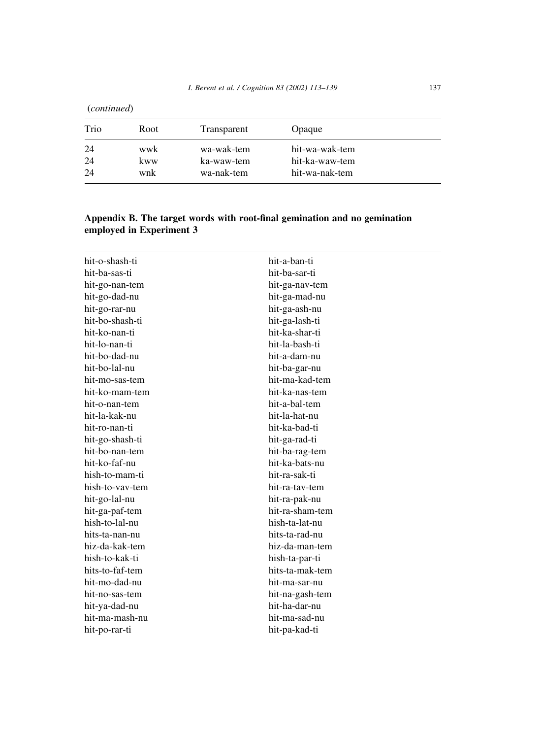| ( <i>continued</i> ) |                   |                                        |                                                    |  |  |
|----------------------|-------------------|----------------------------------------|----------------------------------------------------|--|--|
| Trio                 | Root              | Transparent                            | Opaque                                             |  |  |
| 24<br>24<br>24       | wwk<br>kww<br>wnk | wa-wak-tem<br>ka-waw-tem<br>wa-nak-tem | hit-wa-wak-tem<br>hit-ka-waw-tem<br>hit-wa-nak-tem |  |  |

| hit-o-shash-ti  | hit-a-ban-ti    |
|-----------------|-----------------|
| hit-ba-sas-ti   | hit-ba-sar-ti   |
| hit-go-nan-tem  | hit-ga-nav-tem  |
| hit-go-dad-nu   | hit-ga-mad-nu   |
| hit-go-rar-nu   | hit-ga-ash-nu   |
| hit-bo-shash-ti | hit-ga-lash-ti  |
| hit-ko-nan-ti   | hit-ka-shar-ti  |
| hit-lo-nan-ti   | hit-la-bash-ti  |
| hit-bo-dad-nu   | hit-a-dam-nu    |
| hit-bo-lal-nu   | hit-ba-gar-nu   |
| hit-mo-sas-tem  | hit-ma-kad-tem  |
| hit-ko-mam-tem  | hit-ka-nas-tem  |
| hit-o-nan-tem   | hit-a-bal-tem   |
| hit-la-kak-nu   | hit-la-hat-nu   |
| hit-ro-nan-ti   | hit-ka-bad-ti   |
| hit-go-shash-ti | hit-ga-rad-ti   |
| hit-bo-nan-tem  | hit-ba-rag-tem  |
| hit-ko-faf-nu   | hit-ka-bats-nu  |
| hish-to-mam-ti  | hit-ra-sak-ti   |
| hish-to-vay-tem | hit-ra-tav-tem  |
| hit-go-lal-nu   | hit-ra-pak-nu   |
| hit-ga-paf-tem  | hit-ra-sham-tem |
| hish-to-lal-nu  | hish-ta-lat-nu  |
| hits-ta-nan-nu  | hits-ta-rad-nu  |
| hiz-da-kak-tem  | hiz-da-man-tem  |
| hish-to-kak-ti  | hish-ta-par-ti  |
| hits-to-faf-tem | hits-ta-mak-tem |
| hit-mo-dad-nu   | hit-ma-sar-nu   |
| hit-no-sas-tem  | hit-na-gash-tem |
| hit-ya-dad-nu   | hit-ha-dar-nu   |
| hit-ma-mash-nu  | hit-ma-sad-nu   |
| hit-po-rar-ti   | hit-pa-kad-ti   |
|                 |                 |

# Appendix B. The target words with root-final gemination and no gemination employed in Experiment 3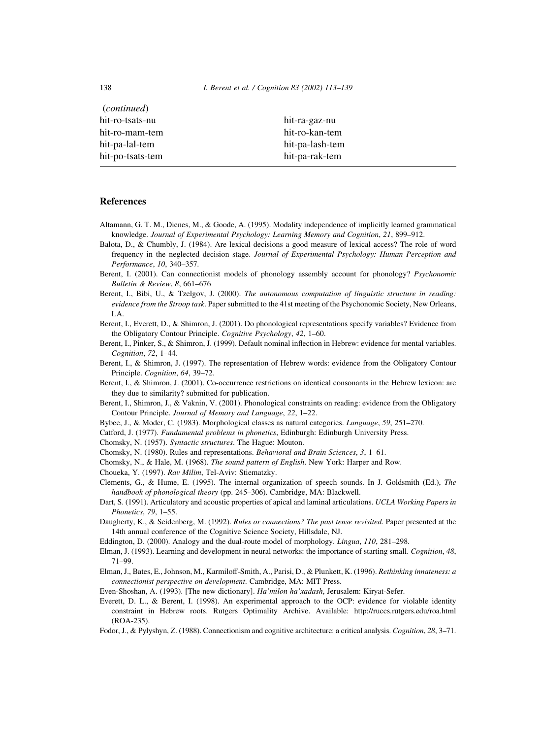| (continued)      |                 |  |
|------------------|-----------------|--|
| hit-ro-tsats-nu  | hit-ra-gaz-nu   |  |
| hit-ro-mam-tem   | hit-ro-kan-tem  |  |
| hit-pa-lal-tem   | hit-pa-lash-tem |  |
| hit-po-tsats-tem | hit-pa-rak-tem  |  |

## References

- Altamann, G. T. M., Dienes, M., & Goode, A. (1995). Modality independence of implicitly learned grammatical knowledge. Journal of Experimental Psychology: Learning Memory and Cognition, 21, 899–912.
- Balota, D., & Chumbly, J. (1984). Are lexical decisions a good measure of lexical access? The role of word frequency in the neglected decision stage. Journal of Experimental Psychology: Human Perception and Performance, 10, 340–357.
- Berent, I. (2001). Can connectionist models of phonology assembly account for phonology? Psychonomic Bulletin & Review, 8, 661–676
- Berent, I., Bibi, U., & Tzelgov, J. (2000). The autonomous computation of linguistic structure in reading: evidence from the Stroop task. Paper submitted to the 41st meeting of the Psychonomic Society, New Orleans,  $L_A$
- Berent, I., Everett, D., & Shimron, J. (2001). Do phonological representations specify variables? Evidence from the Obligatory Contour Principle. Cognitive Psychology, 42, 1–60.
- Berent, I., Pinker, S., & Shimron, J. (1999). Default nominal inflection in Hebrew: evidence for mental variables. Cognition, 72, 1–44.
- Berent, I., & Shimron, J. (1997). The representation of Hebrew words: evidence from the Obligatory Contour Principle. Cognition, 64, 39–72.
- Berent, I., & Shimron, J. (2001). Co-occurrence restrictions on identical consonants in the Hebrew lexicon: are they due to similarity? submitted for publication.
- Berent, I., Shimron, J., & Vaknin, V. (2001). Phonological constraints on reading: evidence from the Obligatory Contour Principle. Journal of Memory and Language, 22, 1–22.
- Bybee, J., & Moder, C. (1983). Morphological classes as natural categories. Language, 59, 251–270.
- Catford, J. (1977). Fundamental problems in phonetics, Edinburgh: Edinburgh University Press.
- Chomsky, N. (1957). Syntactic structures. The Hague: Mouton.
- Chomsky, N. (1980). Rules and representations. Behavioral and Brain Sciences, 3, 1–61.
- Chomsky, N., & Hale, M. (1968). The sound pattern of English. New York: Harper and Row.
- Choueka, Y. (1997). Rav Milim, Tel-Aviv: Stiematzky.
- Clements, G., & Hume, E. (1995). The internal organization of speech sounds. In J. Goldsmith (Ed.), The handbook of phonological theory (pp. 245–306). Cambridge, MA: Blackwell.
- Dart, S. (1991). Articulatory and acoustic properties of apical and laminal articulations. UCLA Working Papers in Phonetics, 79, 1–55.
- Daugherty, K., & Seidenberg, M. (1992). Rules or connections? The past tense revisited. Paper presented at the 14th annual conference of the Cognitive Science Society, Hillsdale, NJ.
- Eddington, D. (2000). Analogy and the dual-route model of morphology. Lingua, 110, 281–298.
- Elman, J. (1993). Learning and development in neural networks: the importance of starting small. Cognition, 48, 71–99.
- Elman, J., Bates, E., Johnson, M., Karmiloff-Smith, A., Parisi, D., & Plunkett, K. (1996). Rethinking innateness: a connectionist perspective on development. Cambridge, MA: MIT Press.
- Even-Shoshan, A. (1993). [The new dictionary]. Ha'milon ha'xadash, Jerusalem: Kiryat-Sefer.
- Everett, D. L., & Berent, I. (1998). An experimental approach to the OCP: evidence for violable identity constraint in Hebrew roots. Rutgers Optimality Archive. Available: http://ruccs.rutgers.edu/roa.html (ROA-235).
- Fodor, J., & Pylyshyn, Z. (1988). Connectionism and cognitive architecture: a critical analysis. Cognition, 28, 3–71.